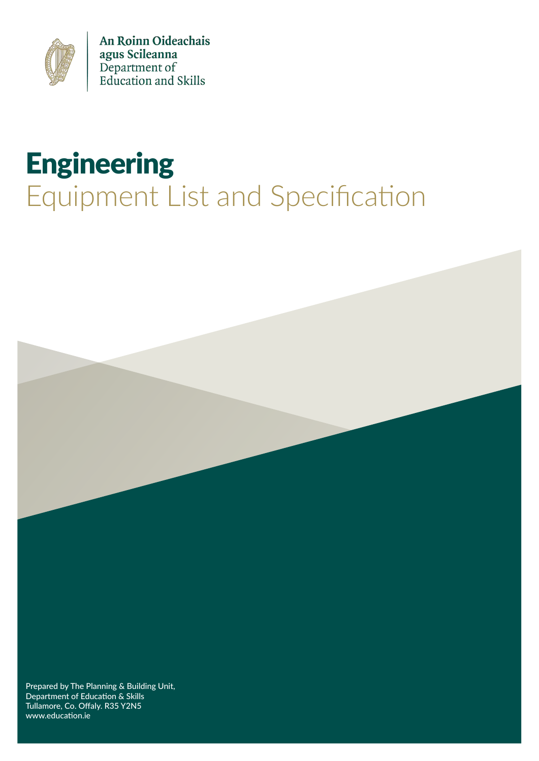

An Roinn Oideachais agus Scileanna<br>Department of<br>Education and Skills

# **Engineering** Equipment List and Specification



Department of Education & Skills Tullamore, Co. Offaly. R35 Y2N5 www.education.ie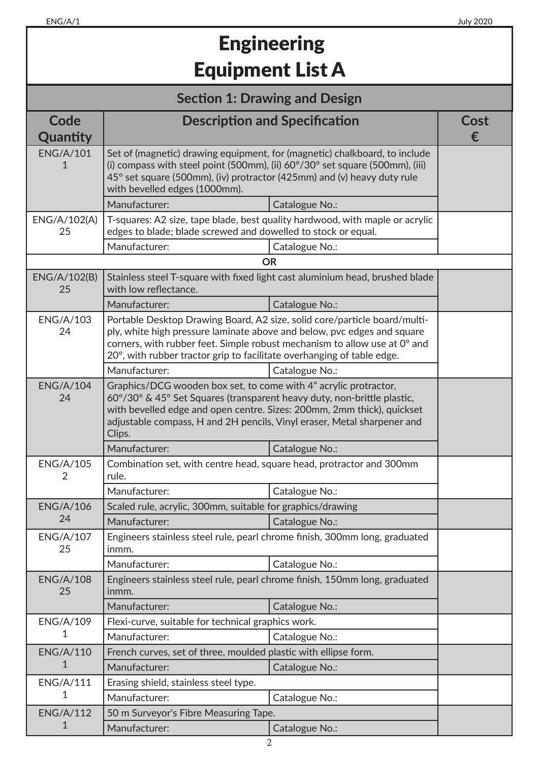# **Engineering** Equipment List A

### **Section 1: Drawing and Design**

| Code                   |                                                                                                                                                                                                                                                                                                             | <b>Description and Specification</b>                                         | Cost |
|------------------------|-------------------------------------------------------------------------------------------------------------------------------------------------------------------------------------------------------------------------------------------------------------------------------------------------------------|------------------------------------------------------------------------------|------|
| Quantity               |                                                                                                                                                                                                                                                                                                             |                                                                              | €    |
| <b>ENG/A/101</b><br>1  | Set of (magnetic) drawing equipment, for (magnetic) chalkboard, to include<br>(i) compass with steel point (500mm), (ii) $60^{\circ}/30^{\circ}$ set square (500mm), (iii)<br>45° set square (500mm), (iv) protractor (425mm) and (v) heavy duty rule<br>with bevelled edges (1000mm).                      |                                                                              |      |
|                        | Manufacturer:                                                                                                                                                                                                                                                                                               | Catalogue No.:                                                               |      |
| ENG/A/102(A)<br>25     | edges to blade; blade screwed and dowelled to stock or equal.                                                                                                                                                                                                                                               | T-squares: A2 size, tape blade, best quality hardwood, with maple or acrylic |      |
|                        | Manufacturer:                                                                                                                                                                                                                                                                                               | Catalogue No.:                                                               |      |
|                        |                                                                                                                                                                                                                                                                                                             | <b>OR</b>                                                                    |      |
| ENG/A/102(B)<br>25     | with low reflectance.                                                                                                                                                                                                                                                                                       | Stainless steel T-square with fixed light cast aluminium head, brushed blade |      |
|                        | Manufacturer:                                                                                                                                                                                                                                                                                               | Catalogue No.:                                                               |      |
| <b>ENG/A/103</b><br>24 | Portable Desktop Drawing Board, A2 size, solid core/particle board/multi-<br>ply, white high pressure laminate above and below, pvc edges and square<br>corners, with rubber feet. Simple robust mechanism to allow use at 0° and<br>20°, with rubber tractor grip to facilitate overhanging of table edge. |                                                                              |      |
|                        | Manufacturer:                                                                                                                                                                                                                                                                                               | Catalogue No.:                                                               |      |
| <b>ENG/A/104</b><br>24 | Graphics/DCG wooden box set, to come with 4" acrylic protractor,<br>60°/30° & 45° Set Squares (transparent heavy duty, non-brittle plastic,<br>with bevelled edge and open centre. Sizes: 200mm, 2mm thick), quickset<br>adjustable compass, H and 2H pencils, Vinyl eraser, Metal sharpener and<br>Clips.  |                                                                              |      |
|                        | Manufacturer:                                                                                                                                                                                                                                                                                               | Catalogue No.:                                                               |      |
| <b>ENG/A/105</b><br>2  | Combination set, with centre head, square head, protractor and 300mm<br>rule.                                                                                                                                                                                                                               |                                                                              |      |
|                        | Manufacturer:                                                                                                                                                                                                                                                                                               | Catalogue No.:                                                               |      |
| <b>ENG/A/106</b>       | Scaled rule, acrylic, 300mm, suitable for graphics/drawing                                                                                                                                                                                                                                                  |                                                                              |      |
| 24                     | Manufacturer:                                                                                                                                                                                                                                                                                               | Catalogue No.:                                                               |      |
| <b>ENG/A/107</b><br>25 | inmm.                                                                                                                                                                                                                                                                                                       | Engineers stainless steel rule, pearl chrome finish, 300mm long, graduated   |      |
|                        | Manufacturer:                                                                                                                                                                                                                                                                                               | Catalogue No.:                                                               |      |
| <b>ENG/A/108</b><br>25 | inmm.                                                                                                                                                                                                                                                                                                       | Engineers stainless steel rule, pearl chrome finish, 150mm long, graduated   |      |
|                        | Manufacturer:                                                                                                                                                                                                                                                                                               | Catalogue No.:                                                               |      |
| <b>ENG/A/109</b>       | Flexi-curve, suitable for technical graphics work.                                                                                                                                                                                                                                                          |                                                                              |      |
| 1                      | Manufacturer:                                                                                                                                                                                                                                                                                               | Catalogue No.:                                                               |      |
| <b>ENG/A/110</b>       | French curves, set of three, moulded plastic with ellipse form.                                                                                                                                                                                                                                             |                                                                              |      |
| 1                      | Manufacturer:                                                                                                                                                                                                                                                                                               | Catalogue No.:                                                               |      |
| <b>ENG/A/111</b>       | Erasing shield, stainless steel type.                                                                                                                                                                                                                                                                       |                                                                              |      |
| 1                      | Manufacturer:                                                                                                                                                                                                                                                                                               | Catalogue No.:                                                               |      |
| <b>ENG/A/112</b>       | 50 m Surveyor's Fibre Measuring Tape.                                                                                                                                                                                                                                                                       |                                                                              |      |
| 1                      | Manufacturer:                                                                                                                                                                                                                                                                                               | Catalogue No.:                                                               |      |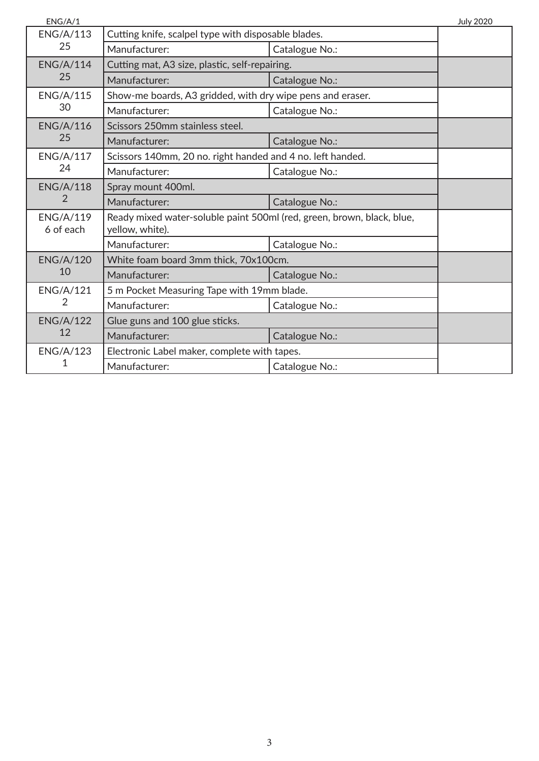| ENG/A/1                       |                                                                                           |                | <b>July 2020</b> |
|-------------------------------|-------------------------------------------------------------------------------------------|----------------|------------------|
| <b>ENG/A/113</b>              | Cutting knife, scalpel type with disposable blades.                                       |                |                  |
| 25                            | Manufacturer:                                                                             | Catalogue No.: |                  |
| <b>ENG/A/114</b>              | Cutting mat, A3 size, plastic, self-repairing.                                            |                |                  |
| 25                            | Manufacturer:                                                                             | Catalogue No.: |                  |
| <b>ENG/A/115</b>              | Show-me boards, A3 gridded, with dry wipe pens and eraser.                                |                |                  |
| 30                            | Manufacturer:                                                                             | Catalogue No.: |                  |
| <b>ENG/A/116</b>              | Scissors 250mm stainless steel.                                                           |                |                  |
| 25                            | Manufacturer:                                                                             | Catalogue No.: |                  |
| <b>ENG/A/117</b>              | Scissors 140mm, 20 no. right handed and 4 no. left handed.                                |                |                  |
| 24                            | Manufacturer:                                                                             | Catalogue No.: |                  |
| <b>ENG/A/118</b>              | Spray mount 400ml.                                                                        |                |                  |
| 2                             | Manufacturer:                                                                             | Catalogue No.: |                  |
| <b>ENG/A/119</b><br>6 of each | Ready mixed water-soluble paint 500ml (red, green, brown, black, blue,<br>yellow, white). |                |                  |
|                               | Manufacturer:                                                                             | Catalogue No.: |                  |
| <b>ENG/A/120</b>              | White foam board 3mm thick, 70x100cm.                                                     |                |                  |
| 10                            | Manufacturer:                                                                             | Catalogue No.: |                  |
| <b>ENG/A/121</b>              | 5 m Pocket Measuring Tape with 19mm blade.                                                |                |                  |
| 2                             | Manufacturer:                                                                             | Catalogue No.: |                  |
| <b>ENG/A/122</b><br>12        | Glue guns and 100 glue sticks.                                                            |                |                  |
|                               | Manufacturer:                                                                             | Catalogue No.: |                  |
| <b>ENG/A/123</b>              | Electronic Label maker, complete with tapes.                                              |                |                  |
| 1                             | Manufacturer:                                                                             | Catalogue No.: |                  |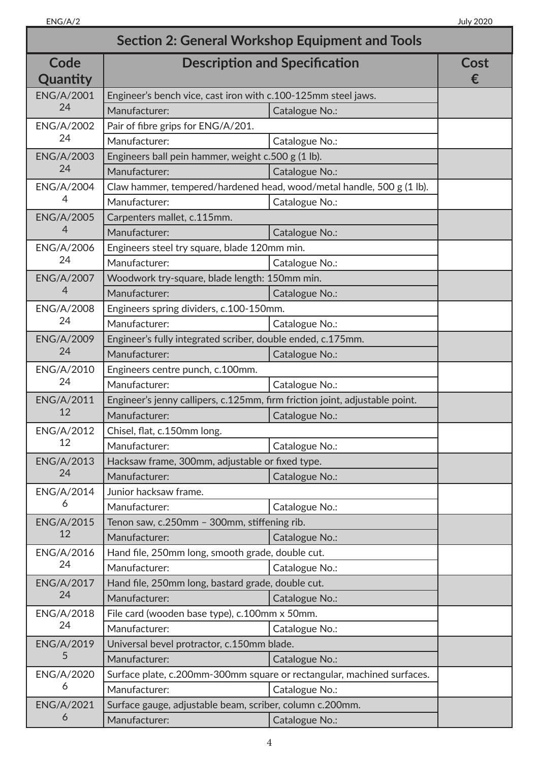| <b>Section 2: General Workshop Equipment and Tools</b> |                                                                             |                |           |
|--------------------------------------------------------|-----------------------------------------------------------------------------|----------------|-----------|
| Code<br>Quantity                                       | <b>Description and Specification</b>                                        |                | Cost<br>€ |
| <b>ENG/A/2001</b>                                      | Engineer's bench vice, cast iron with c.100-125mm steel jaws.               |                |           |
| 24                                                     | Manufacturer:                                                               | Catalogue No.: |           |
| <b>ENG/A/2002</b>                                      | Pair of fibre grips for ENG/A/201.                                          |                |           |
| 24                                                     | Manufacturer:                                                               | Catalogue No.: |           |
| <b>ENG/A/2003</b>                                      | Engineers ball pein hammer, weight c.500 g (1 lb).                          |                |           |
| 24                                                     | Manufacturer:                                                               | Catalogue No.: |           |
| <b>ENG/A/2004</b>                                      | Claw hammer, tempered/hardened head, wood/metal handle, 500 g (1 lb).       |                |           |
| 4                                                      | Manufacturer:                                                               | Catalogue No.: |           |
| <b>ENG/A/2005</b>                                      | Carpenters mallet, c.115mm.                                                 |                |           |
| 4                                                      | Manufacturer:                                                               | Catalogue No.: |           |
| ENG/A/2006                                             | Engineers steel try square, blade 120mm min.                                |                |           |
| 24                                                     | Manufacturer:                                                               | Catalogue No.: |           |
| <b>ENG/A/2007</b>                                      | Woodwork try-square, blade length: 150mm min.                               |                |           |
| 4                                                      | Manufacturer:                                                               | Catalogue No.: |           |
| <b>ENG/A/2008</b>                                      | Engineers spring dividers, c.100-150mm.                                     |                |           |
| 24                                                     | Manufacturer:                                                               | Catalogue No.: |           |
| <b>ENG/A/2009</b>                                      | Engineer's fully integrated scriber, double ended, c.175mm.                 |                |           |
| 24                                                     | Manufacturer:                                                               | Catalogue No.: |           |
| ENG/A/2010                                             | Engineers centre punch, c.100mm.                                            |                |           |
| 24                                                     | Manufacturer:                                                               | Catalogue No.: |           |
| <b>ENG/A/2011</b>                                      | Engineer's jenny callipers, c.125mm, firm friction joint, adjustable point. |                |           |
| 12                                                     | Manufacturer:                                                               | Catalogue No.: |           |
| <b>ENG/A/2012</b>                                      | Chisel, flat, c.150mm long.                                                 |                |           |
| 12                                                     | Manufacturer:                                                               | Catalogue No.: |           |
| <b>ENG/A/2013</b>                                      | Hacksaw frame, 300mm, adjustable or fixed type.                             |                |           |
| 24                                                     | Manufacturer:                                                               | Catalogue No.: |           |
| ENG/A/2014                                             | Junior hacksaw frame.                                                       |                |           |
| 6                                                      | Manufacturer:                                                               | Catalogue No.: |           |
| <b>ENG/A/2015</b>                                      | Tenon saw, c.250mm - 300mm, stiffening rib.                                 |                |           |
| 12                                                     | Manufacturer:                                                               | Catalogue No.: |           |
| ENG/A/2016                                             | Hand file, 250mm long, smooth grade, double cut.                            |                |           |
| 24                                                     | Manufacturer:                                                               | Catalogue No.: |           |
| <b>ENG/A/2017</b>                                      | Hand file, 250mm long, bastard grade, double cut.                           |                |           |
| 24                                                     | Manufacturer:                                                               | Catalogue No.: |           |
| ENG/A/2018                                             | File card (wooden base type), c.100mm x 50mm.                               |                |           |
| 24                                                     | Manufacturer:                                                               | Catalogue No.: |           |
| <b>ENG/A/2019</b>                                      | Universal bevel protractor, c.150mm blade.                                  |                |           |
| 5                                                      | Manufacturer:                                                               | Catalogue No.: |           |
| <b>ENG/A/2020</b>                                      | Surface plate, c.200mm-300mm square or rectangular, machined surfaces.      |                |           |
| 6                                                      | Manufacturer:                                                               | Catalogue No.: |           |
| <b>ENG/A/2021</b>                                      | Surface gauge, adjustable beam, scriber, column c.200mm.                    |                |           |
| 6                                                      | Manufacturer:                                                               | Catalogue No.: |           |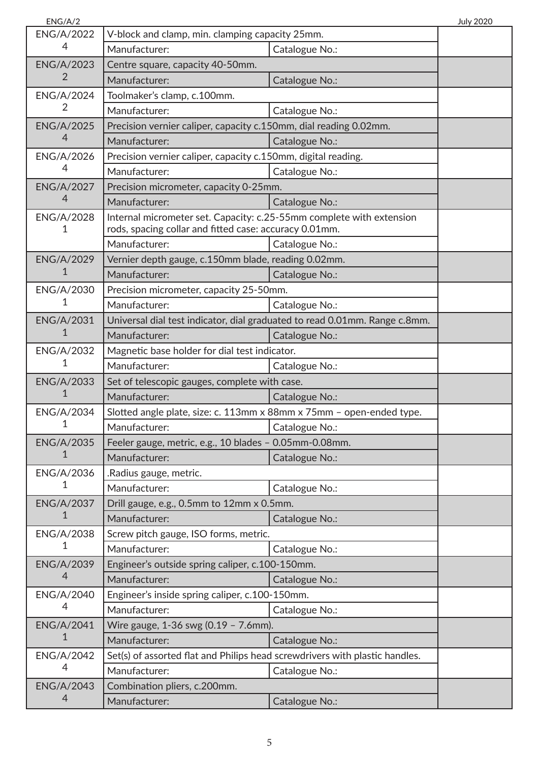| ENG/A/2           |                                                                             |                                                                            | <b>July 2020</b> |
|-------------------|-----------------------------------------------------------------------------|----------------------------------------------------------------------------|------------------|
| <b>ENG/A/2022</b> | V-block and clamp, min. clamping capacity 25mm.                             |                                                                            |                  |
| 4                 | Manufacturer:                                                               | Catalogue No.:                                                             |                  |
| <b>ENG/A/2023</b> | Centre square, capacity 40-50mm.                                            |                                                                            |                  |
| 2                 | Manufacturer:                                                               | Catalogue No.:                                                             |                  |
| <b>ENG/A/2024</b> | Toolmaker's clamp, c.100mm.                                                 |                                                                            |                  |
| 2                 | Manufacturer:                                                               | Catalogue No.:                                                             |                  |
| <b>ENG/A/2025</b> | Precision vernier caliper, capacity c.150mm, dial reading 0.02mm.           |                                                                            |                  |
| 4                 | Manufacturer:                                                               | Catalogue No.:                                                             |                  |
| <b>ENG/A/2026</b> | Precision vernier caliper, capacity c.150mm, digital reading.               |                                                                            |                  |
| 4                 | Manufacturer:                                                               | Catalogue No.:                                                             |                  |
| <b>ENG/A/2027</b> | Precision micrometer, capacity 0-25mm.                                      |                                                                            |                  |
| 4                 | Manufacturer:                                                               | Catalogue No.:                                                             |                  |
| <b>ENG/A/2028</b> | Internal micrometer set. Capacity: c.25-55mm complete with extension        |                                                                            |                  |
| 1                 | rods, spacing collar and fitted case: accuracy 0.01mm.                      |                                                                            |                  |
|                   | Manufacturer:                                                               | Catalogue No.:                                                             |                  |
| <b>ENG/A/2029</b> | Vernier depth gauge, c.150mm blade, reading 0.02mm.                         |                                                                            |                  |
| 1                 | Manufacturer:                                                               | Catalogue No.:                                                             |                  |
| ENG/A/2030        | Precision micrometer, capacity 25-50mm.                                     |                                                                            |                  |
| 1                 | Manufacturer:                                                               | Catalogue No.:                                                             |                  |
| <b>ENG/A/2031</b> |                                                                             | Universal dial test indicator, dial graduated to read 0.01mm. Range c.8mm. |                  |
| 1                 | Manufacturer:                                                               | Catalogue No.:                                                             |                  |
| ENG/A/2032        | Magnetic base holder for dial test indicator.                               |                                                                            |                  |
| 1                 | Manufacturer:                                                               | Catalogue No.:                                                             |                  |
| <b>ENG/A/2033</b> | Set of telescopic gauges, complete with case.                               |                                                                            |                  |
| 1                 | Manufacturer:                                                               | Catalogue No.:                                                             |                  |
| <b>ENG/A/2034</b> | Slotted angle plate, size: c. 113mm x 88mm x 75mm - open-ended type.        |                                                                            |                  |
| 1                 | Manufacturer:                                                               | Catalogue No.:                                                             |                  |
| <b>ENG/A/2035</b> | Feeler gauge, metric, e.g., 10 blades - 0.05mm-0.08mm.                      |                                                                            |                  |
| 1                 | Manufacturer:                                                               | Catalogue No.:                                                             |                  |
| ENG/A/2036        | .Radius gauge, metric.                                                      |                                                                            |                  |
| 1                 | Manufacturer:                                                               | Catalogue No.:                                                             |                  |
| <b>ENG/A/2037</b> | Drill gauge, e.g., 0.5mm to 12mm x 0.5mm.                                   |                                                                            |                  |
| 1                 | Manufacturer:                                                               | Catalogue No.:                                                             |                  |
| ENG/A/2038        | Screw pitch gauge, ISO forms, metric.                                       |                                                                            |                  |
| 1                 | Manufacturer:                                                               | Catalogue No.:                                                             |                  |
| <b>ENG/A/2039</b> | Engineer's outside spring caliper, c.100-150mm.                             |                                                                            |                  |
| 4                 | Manufacturer:                                                               | Catalogue No.:                                                             |                  |
| ENG/A/2040        | Engineer's inside spring caliper, c.100-150mm.                              |                                                                            |                  |
| 4                 | Manufacturer:                                                               | Catalogue No.:                                                             |                  |
| <b>ENG/A/2041</b> | Wire gauge, 1-36 swg (0.19 - 7.6mm).                                        |                                                                            |                  |
| 1                 | Manufacturer:                                                               | Catalogue No.:                                                             |                  |
| <b>ENG/A/2042</b> | Set(s) of assorted flat and Philips head screwdrivers with plastic handles. |                                                                            |                  |
| 4                 | Manufacturer:                                                               | Catalogue No.:                                                             |                  |
| <b>ENG/A/2043</b> | Combination pliers, c.200mm.                                                |                                                                            |                  |
| 4                 | Manufacturer:                                                               | Catalogue No.:                                                             |                  |
|                   |                                                                             |                                                                            |                  |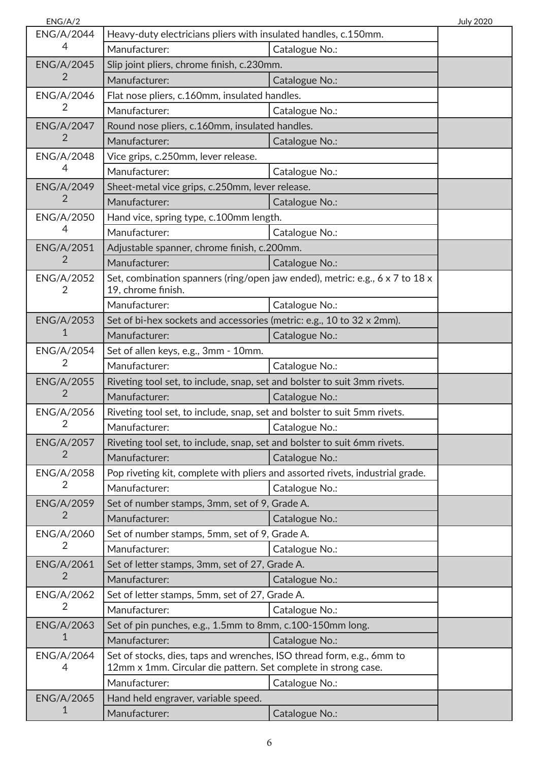| ENG/A/2                |                                                                                                                                         |                | <b>July 2020</b> |
|------------------------|-----------------------------------------------------------------------------------------------------------------------------------------|----------------|------------------|
| <b>ENG/A/2044</b>      | Heavy-duty electricians pliers with insulated handles, c.150mm.                                                                         |                |                  |
| 4                      | Manufacturer:                                                                                                                           | Catalogue No.: |                  |
| <b>ENG/A/2045</b>      | Slip joint pliers, chrome finish, c.230mm.                                                                                              |                |                  |
| 2                      | Manufacturer:                                                                                                                           | Catalogue No.: |                  |
| <b>ENG/A/2046</b>      | Flat nose pliers, c.160mm, insulated handles.                                                                                           |                |                  |
| $\overline{2}$         | Manufacturer:                                                                                                                           | Catalogue No.: |                  |
| <b>ENG/A/2047</b>      | Round nose pliers, c.160mm, insulated handles.                                                                                          |                |                  |
| $\overline{2}$         | Manufacturer:                                                                                                                           | Catalogue No.: |                  |
| <b>ENG/A/2048</b>      | Vice grips, c.250mm, lever release.                                                                                                     |                |                  |
| 4                      | Manufacturer:                                                                                                                           | Catalogue No.: |                  |
| <b>ENG/A/2049</b>      | Sheet-metal vice grips, c.250mm, lever release.                                                                                         |                |                  |
| 2                      | Manufacturer:                                                                                                                           | Catalogue No.: |                  |
| <b>ENG/A/2050</b>      | Hand vice, spring type, c.100mm length.                                                                                                 |                |                  |
| 4                      | Manufacturer:                                                                                                                           | Catalogue No.: |                  |
| <b>ENG/A/2051</b>      | Adjustable spanner, chrome finish, c.200mm.                                                                                             |                |                  |
| 2                      | Manufacturer:                                                                                                                           | Catalogue No.: |                  |
| <b>ENG/A/2052</b><br>2 | Set, combination spanners (ring/open jaw ended), metric: e.g., 6 x 7 to 18 x<br>19, chrome finish.                                      |                |                  |
|                        | Manufacturer:                                                                                                                           | Catalogue No.: |                  |
| <b>ENG/A/2053</b>      | Set of bi-hex sockets and accessories (metric: e.g., 10 to 32 x 2mm).                                                                   |                |                  |
| 1                      | Manufacturer:                                                                                                                           | Catalogue No.: |                  |
| <b>ENG/A/2054</b>      | Set of allen keys, e.g., 3mm - 10mm.                                                                                                    |                |                  |
| 2                      | Manufacturer:                                                                                                                           | Catalogue No.: |                  |
| <b>ENG/A/2055</b>      | Riveting tool set, to include, snap, set and bolster to suit 3mm rivets.                                                                |                |                  |
| $\overline{2}$         | Manufacturer:                                                                                                                           | Catalogue No.: |                  |
| ENG/A/2056             | Riveting tool set, to include, snap, set and bolster to suit 5mm rivets.                                                                |                |                  |
| 2                      | Manufacturer:                                                                                                                           | Catalogue No.: |                  |
| <b>ENG/A/2057</b>      | Riveting tool set, to include, snap, set and bolster to suit 6mm rivets.                                                                |                |                  |
| 2                      | Manufacturer:                                                                                                                           | Catalogue No.: |                  |
| <b>ENG/A/2058</b>      | Pop riveting kit, complete with pliers and assorted rivets, industrial grade.                                                           |                |                  |
| 2                      | Manufacturer:                                                                                                                           | Catalogue No.: |                  |
| <b>ENG/A/2059</b>      | Set of number stamps, 3mm, set of 9, Grade A.                                                                                           |                |                  |
| 2                      | Manufacturer:                                                                                                                           | Catalogue No.: |                  |
| ENG/A/2060             | Set of number stamps, 5mm, set of 9, Grade A.                                                                                           |                |                  |
| $\overline{2}$         | Manufacturer:                                                                                                                           | Catalogue No.: |                  |
| <b>ENG/A/2061</b>      | Set of letter stamps, 3mm, set of 27, Grade A.                                                                                          |                |                  |
| $\overline{2}$         | Manufacturer:                                                                                                                           | Catalogue No.: |                  |
| <b>ENG/A/2062</b>      | Set of letter stamps, 5mm, set of 27, Grade A.                                                                                          |                |                  |
| 2                      | Manufacturer:                                                                                                                           | Catalogue No.: |                  |
| <b>ENG/A/2063</b>      | Set of pin punches, e.g., 1.5mm to 8mm, c.100-150mm long.                                                                               |                |                  |
| $\mathbf{1}$           | Manufacturer:                                                                                                                           | Catalogue No.: |                  |
| <b>ENG/A/2064</b><br>4 | Set of stocks, dies, taps and wrenches, ISO thread form, e.g., 6mm to<br>12mm x 1mm. Circular die pattern. Set complete in strong case. |                |                  |
|                        | Manufacturer:                                                                                                                           | Catalogue No.: |                  |
| <b>ENG/A/2065</b>      | Hand held engraver, variable speed.                                                                                                     |                |                  |
| 1                      | Manufacturer:                                                                                                                           | Catalogue No.: |                  |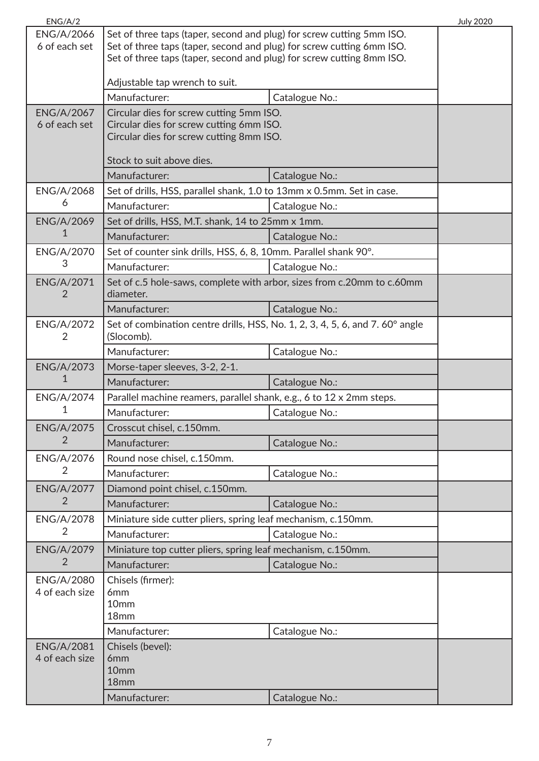| ENG/A/2           |                                                                                                                                                |                | <b>July 2020</b> |
|-------------------|------------------------------------------------------------------------------------------------------------------------------------------------|----------------|------------------|
| <b>ENG/A/2066</b> | Set of three taps (taper, second and plug) for screw cutting 5mm ISO.                                                                          |                |                  |
| 6 of each set     | Set of three taps (taper, second and plug) for screw cutting 6mm ISO.<br>Set of three taps (taper, second and plug) for screw cutting 8mm ISO. |                |                  |
|                   |                                                                                                                                                |                |                  |
|                   | Adjustable tap wrench to suit.                                                                                                                 |                |                  |
|                   | Manufacturer:                                                                                                                                  | Catalogue No.: |                  |
| <b>ENG/A/2067</b> | Circular dies for screw cutting 5mm ISO.                                                                                                       |                |                  |
| 6 of each set     | Circular dies for screw cutting 6mm ISO.                                                                                                       |                |                  |
|                   | Circular dies for screw cutting 8mm ISO.                                                                                                       |                |                  |
|                   | Stock to suit above dies.                                                                                                                      |                |                  |
|                   | Manufacturer:                                                                                                                                  | Catalogue No.: |                  |
| <b>ENG/A/2068</b> | Set of drills, HSS, parallel shank, 1.0 to 13mm x 0.5mm. Set in case.                                                                          |                |                  |
| 6                 | Manufacturer:                                                                                                                                  | Catalogue No.: |                  |
| <b>ENG/A/2069</b> | Set of drills, HSS, M.T. shank, 14 to 25mm x 1mm.                                                                                              |                |                  |
| 1                 | Manufacturer:                                                                                                                                  | Catalogue No.: |                  |
| ENG/A/2070        | Set of counter sink drills, HSS, 6, 8, 10mm. Parallel shank 90°.                                                                               |                |                  |
| 3                 | Manufacturer:                                                                                                                                  | Catalogue No.: |                  |
| <b>ENG/A/2071</b> | Set of c.5 hole-saws, complete with arbor, sizes from c.20mm to c.60mm                                                                         |                |                  |
| 2                 | diameter.                                                                                                                                      |                |                  |
|                   | Manufacturer:                                                                                                                                  | Catalogue No.: |                  |
| ENG/A/2072        | Set of combination centre drills, HSS, No. 1, 2, 3, 4, 5, 6, and 7. 60° angle                                                                  |                |                  |
| 2                 | (Slocomb).<br>Manufacturer:                                                                                                                    |                |                  |
| <b>ENG/A/2073</b> |                                                                                                                                                | Catalogue No.: |                  |
| 1                 | Morse-taper sleeves, 3-2, 2-1.<br>Manufacturer:                                                                                                | Catalogue No.: |                  |
| ENG/A/2074        | Parallel machine reamers, parallel shank, e.g., 6 to 12 x 2mm steps.                                                                           |                |                  |
| 1                 | Manufacturer:                                                                                                                                  | Catalogue No.: |                  |
| <b>ENG/A/2075</b> | Crosscut chisel, c.150mm.                                                                                                                      |                |                  |
| 2                 | Manufacturer:                                                                                                                                  | Catalogue No.: |                  |
| <b>ENG/A/2076</b> | Round nose chisel, c.150mm.                                                                                                                    |                |                  |
| $\overline{2}$    | Manufacturer:                                                                                                                                  | Catalogue No.: |                  |
| <b>ENG/A/2077</b> | Diamond point chisel, c.150mm.                                                                                                                 |                |                  |
| $\overline{2}$    | Manufacturer:                                                                                                                                  | Catalogue No.: |                  |
| <b>ENG/A/2078</b> | Miniature side cutter pliers, spring leaf mechanism, c.150mm.                                                                                  |                |                  |
| 2                 | Manufacturer:                                                                                                                                  | Catalogue No.: |                  |
| <b>ENG/A/2079</b> | Miniature top cutter pliers, spring leaf mechanism, c.150mm.                                                                                   |                |                  |
| 2                 | Manufacturer:                                                                                                                                  | Catalogue No.: |                  |
| <b>ENG/A/2080</b> | Chisels (firmer):                                                                                                                              |                |                  |
| 4 of each size    | 6 <sub>mm</sub>                                                                                                                                |                |                  |
|                   | 10 <sub>mm</sub>                                                                                                                               |                |                  |
|                   | 18mm                                                                                                                                           |                |                  |
|                   | Manufacturer:                                                                                                                                  | Catalogue No.: |                  |
| <b>ENG/A/2081</b> | Chisels (bevel):                                                                                                                               |                |                  |
|                   |                                                                                                                                                |                |                  |
|                   | 18mm                                                                                                                                           |                |                  |
|                   | Manufacturer:                                                                                                                                  | Catalogue No.: |                  |
| 4 of each size    | 6 <sub>mm</sub><br>10 <sub>mm</sub>                                                                                                            |                |                  |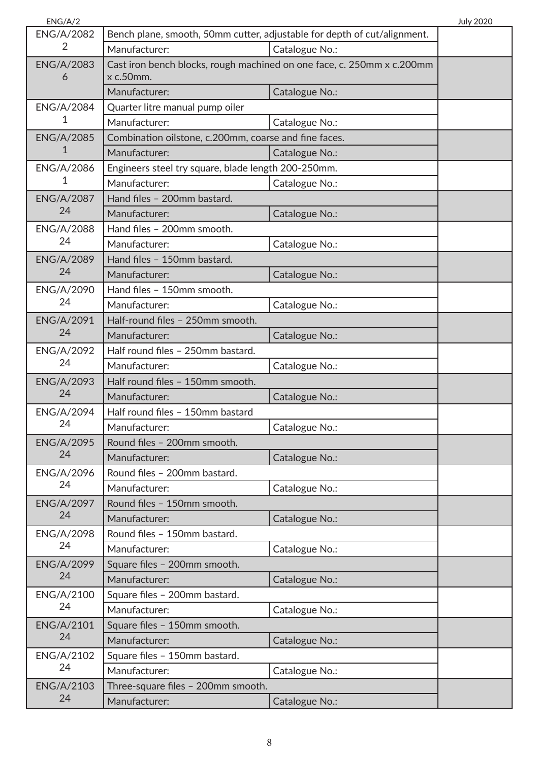| ENG/A/2                 |                                                                          |                                                                        | <b>July 2020</b> |
|-------------------------|--------------------------------------------------------------------------|------------------------------------------------------------------------|------------------|
| <b>ENG/A/2082</b>       | Bench plane, smooth, 50mm cutter, adjustable for depth of cut/alignment. |                                                                        |                  |
| 2                       | Manufacturer:                                                            | Catalogue No.:                                                         |                  |
| <b>ENG/A/2083</b>       |                                                                          | Cast iron bench blocks, rough machined on one face, c. 250mm x c.200mm |                  |
| 6                       | x c.50mm.                                                                |                                                                        |                  |
|                         | Manufacturer:                                                            | Catalogue No.:                                                         |                  |
| <b>ENG/A/2084</b>       | Quarter litre manual pump oiler                                          |                                                                        |                  |
| 1                       | Manufacturer:                                                            | Catalogue No.:                                                         |                  |
| <b>ENG/A/2085</b>       | Combination oilstone, c.200mm, coarse and fine faces.                    |                                                                        |                  |
| 1                       | Manufacturer:                                                            | Catalogue No.:                                                         |                  |
| ENG/A/2086              | Engineers steel try square, blade length 200-250mm.                      |                                                                        |                  |
| 1                       | Manufacturer:                                                            | Catalogue No.:                                                         |                  |
| <b>ENG/A/2087</b>       | Hand files - 200mm bastard.                                              |                                                                        |                  |
| 24                      | Manufacturer:                                                            | Catalogue No.:                                                         |                  |
| <b>ENG/A/2088</b>       | Hand files - 200mm smooth.                                               |                                                                        |                  |
| 24                      | Manufacturer:                                                            | Catalogue No.:                                                         |                  |
| <b>ENG/A/2089</b>       | Hand files - 150mm bastard.                                              |                                                                        |                  |
| 24                      | Manufacturer:                                                            | Catalogue No.:                                                         |                  |
| <b>ENG/A/2090</b>       | Hand files - 150mm smooth.                                               |                                                                        |                  |
| 24                      | Manufacturer:                                                            | Catalogue No.:                                                         |                  |
| <b>ENG/A/2091</b>       | Half-round files - 250mm smooth.                                         |                                                                        |                  |
| 24                      | Manufacturer:                                                            | Catalogue No.:                                                         |                  |
| <b>ENG/A/2092</b>       | Half round files - 250mm bastard.                                        |                                                                        |                  |
| 24                      | Manufacturer:                                                            | Catalogue No.:                                                         |                  |
| <b>ENG/A/2093</b>       | Half round files - 150mm smooth.                                         |                                                                        |                  |
| 24                      | Manufacturer:                                                            | Catalogue No.:                                                         |                  |
| <b>ENG/A/2094</b>       | Half round files - 150mm bastard                                         |                                                                        |                  |
| 24                      | Manufacturer:                                                            | Catalogue No.:                                                         |                  |
| <b>ENG/A/2095</b>       | Round files - 200mm smooth.                                              |                                                                        |                  |
| 24                      | Manufacturer:                                                            | Catalogue No.:                                                         |                  |
| ENG/A/2096              | Round files - 200mm bastard.                                             |                                                                        |                  |
| 24                      | Manufacturer:                                                            | Catalogue No.:                                                         |                  |
| <b>ENG/A/2097</b>       | Round files - 150mm smooth.                                              |                                                                        |                  |
| 24                      | Manufacturer:                                                            | Catalogue No.:                                                         |                  |
| <b>ENG/A/2098</b>       | Round files - 150mm bastard.                                             |                                                                        |                  |
| 24                      | Manufacturer:                                                            | Catalogue No.:                                                         |                  |
| <b>ENG/A/2099</b>       | Square files - 200mm smooth.                                             |                                                                        |                  |
| 24                      | Manufacturer:                                                            | Catalogue No.:                                                         |                  |
| ENG/A/2100              | Square files - 200mm bastard.                                            |                                                                        |                  |
| 24                      | Manufacturer:                                                            | Catalogue No.:                                                         |                  |
| <b>ENG/A/2101</b>       | Square files - 150mm smooth.                                             |                                                                        |                  |
| 24                      | Manufacturer:                                                            | Catalogue No.:                                                         |                  |
| <b>ENG/A/2102</b>       |                                                                          |                                                                        |                  |
| 24                      | Square files - 150mm bastard.                                            |                                                                        |                  |
|                         | Manufacturer:                                                            | Catalogue No.:                                                         |                  |
| <b>ENG/A/2103</b><br>24 | Three-square files - 200mm smooth.                                       |                                                                        |                  |
|                         | Manufacturer:                                                            | Catalogue No.:                                                         |                  |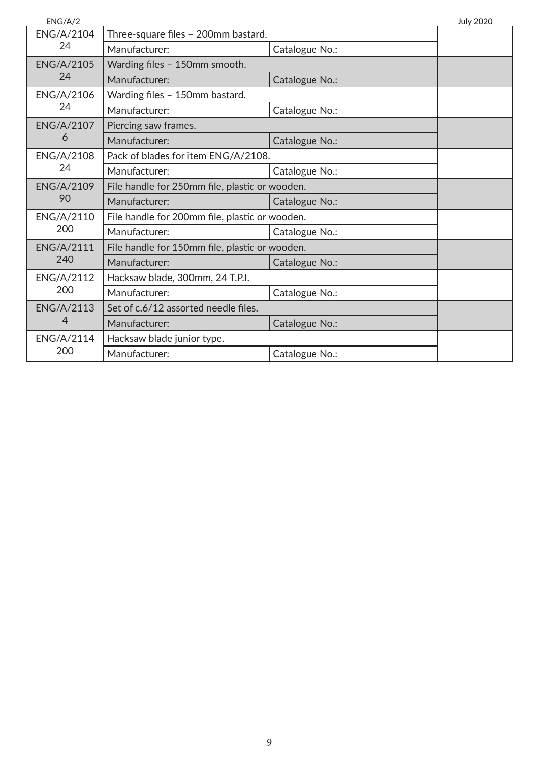| ENG/A/2                 |                                                |                | <b>July 2020</b> |
|-------------------------|------------------------------------------------|----------------|------------------|
| <b>ENG/A/2104</b><br>24 | Three-square files - 200mm bastard.            |                |                  |
|                         | Manufacturer:                                  | Catalogue No.: |                  |
| <b>ENG/A/2105</b>       | Warding files - 150mm smooth.                  |                |                  |
| 24                      | Manufacturer:                                  | Catalogue No.: |                  |
| ENG/A/2106              | Warding files - 150mm bastard.                 |                |                  |
| 24                      | Manufacturer:                                  | Catalogue No.: |                  |
| <b>ENG/A/2107</b>       | Piercing saw frames.                           |                |                  |
| 6                       | Manufacturer:                                  | Catalogue No.: |                  |
| <b>ENG/A/2108</b>       | Pack of blades for item ENG/A/2108.            |                |                  |
| 24                      | Manufacturer:                                  | Catalogue No.: |                  |
| <b>ENG/A/2109</b>       | File handle for 250mm file, plastic or wooden. |                |                  |
| 90                      | Manufacturer:                                  | Catalogue No.: |                  |
| ENG/A/2110              | File handle for 200mm file, plastic or wooden. |                |                  |
| 200                     | Manufacturer:                                  | Catalogue No.: |                  |
| <b>ENG/A/2111</b>       | File handle for 150mm file, plastic or wooden. |                |                  |
| 240                     | Manufacturer:                                  | Catalogue No.: |                  |
| <b>ENG/A/2112</b>       | Hacksaw blade, 300mm, 24 T.P.I.                |                |                  |
| 200                     | Manufacturer:                                  | Catalogue No.: |                  |
| <b>ENG/A/2113</b>       | Set of c.6/12 assorted needle files.           |                |                  |
| 4                       | Manufacturer:                                  | Catalogue No.: |                  |
| <b>ENG/A/2114</b>       | Hacksaw blade junior type.                     |                |                  |
| 200                     | Manufacturer:                                  | Catalogue No.: |                  |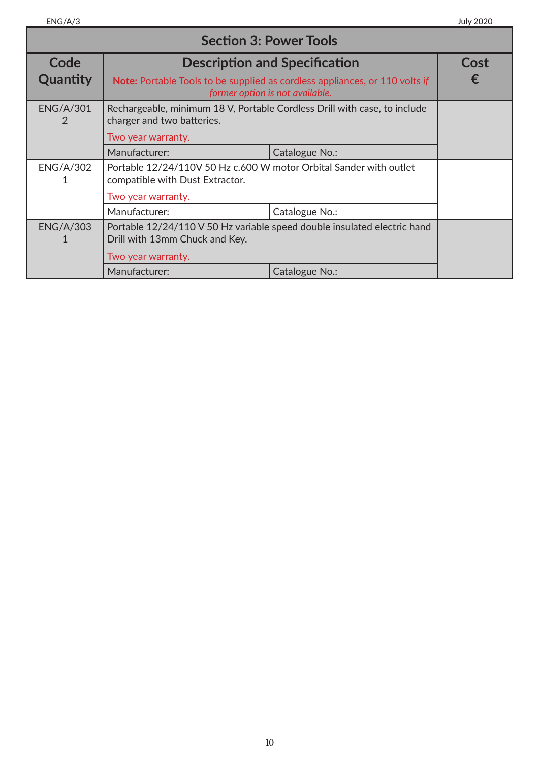| <b>Section 3: Power Tools</b> |                                                                                                                                  |                                      |      |
|-------------------------------|----------------------------------------------------------------------------------------------------------------------------------|--------------------------------------|------|
| Code                          |                                                                                                                                  | <b>Description and Specification</b> | Cost |
| Quantity                      | Note: Portable Tools to be supplied as cordless appliances, or 110 volts if<br>former option is not available.                   |                                      | ŧ.   |
| <b>ENG/A/301</b><br>2         | Rechargeable, minimum 18 V, Portable Cordless Drill with case, to include<br>charger and two batteries.                          |                                      |      |
|                               | Two year warranty.                                                                                                               |                                      |      |
|                               | Manufacturer:                                                                                                                    | Catalogue No.:                       |      |
| <b>ENG/A/302</b>              | Portable 12/24/110V 50 Hz c.600 W motor Orbital Sander with outlet<br>compatible with Dust Extractor.                            |                                      |      |
|                               | Two year warranty.                                                                                                               |                                      |      |
|                               | Manufacturer:                                                                                                                    | Catalogue No.:                       |      |
| <b>ENG/A/303</b>              | Portable 12/24/110 V 50 Hz variable speed double insulated electric hand<br>Drill with 13mm Chuck and Key.<br>Two year warranty. |                                      |      |
|                               |                                                                                                                                  |                                      |      |
|                               | Manufacturer:                                                                                                                    | Catalogue No.:                       |      |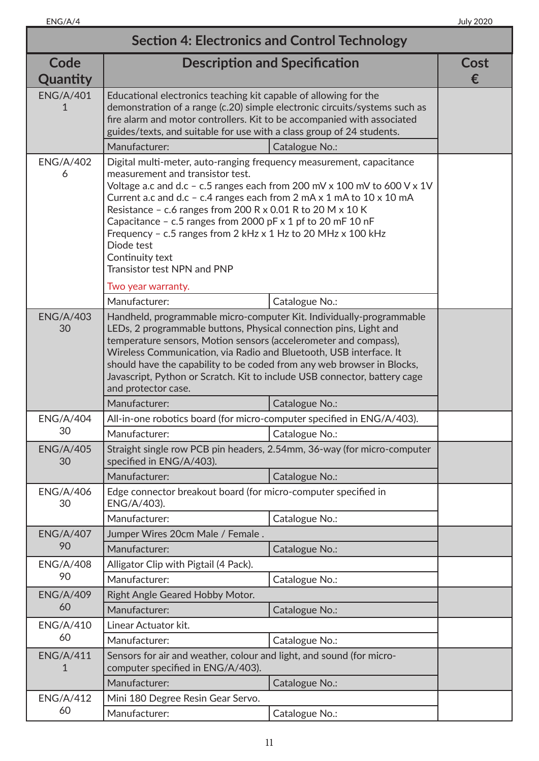| <b>Section 4: Electronics and Control Technology</b> |                                                                                                                                                                                                                                                                                                                                                                                                                                                                                                                                  |                |           |
|------------------------------------------------------|----------------------------------------------------------------------------------------------------------------------------------------------------------------------------------------------------------------------------------------------------------------------------------------------------------------------------------------------------------------------------------------------------------------------------------------------------------------------------------------------------------------------------------|----------------|-----------|
| Code<br>Quantity                                     | <b>Description and Specification</b>                                                                                                                                                                                                                                                                                                                                                                                                                                                                                             |                | Cost<br>€ |
| <b>ENG/A/401</b><br>1                                | Educational electronics teaching kit capable of allowing for the<br>demonstration of a range (c.20) simple electronic circuits/systems such as<br>fire alarm and motor controllers. Kit to be accompanied with associated<br>guides/texts, and suitable for use with a class group of 24 students.<br>Manufacturer:                                                                                                                                                                                                              | Catalogue No.: |           |
|                                                      |                                                                                                                                                                                                                                                                                                                                                                                                                                                                                                                                  |                |           |
| <b>ENG/A/402</b><br>6                                | Digital multi-meter, auto-ranging frequency measurement, capacitance<br>measurement and transistor test.<br>Voltage a.c and d.c - c.5 ranges each from 200 mV x 100 mV to 600 V x 1V<br>Current a.c and d.c - c.4 ranges each from 2 mA x 1 mA to $10 \times 10$ mA<br>Resistance - c.6 ranges from 200 R x 0.01 R to 20 M x 10 K<br>Capacitance - c.5 ranges from 2000 pF x 1 pf to 20 mF 10 nF<br>Frequency - c.5 ranges from 2 kHz x 1 Hz to 20 MHz x 100 kHz<br>Diode test<br>Continuity text<br>Transistor test NPN and PNP |                |           |
|                                                      | Two year warranty.                                                                                                                                                                                                                                                                                                                                                                                                                                                                                                               |                |           |
|                                                      | Manufacturer:                                                                                                                                                                                                                                                                                                                                                                                                                                                                                                                    | Catalogue No.: |           |
| <b>ENG/A/403</b><br>30                               | Handheld, programmable micro-computer Kit. Individually-programmable<br>LEDs, 2 programmable buttons, Physical connection pins, Light and<br>temperature sensors, Motion sensors (accelerometer and compass),<br>Wireless Communication, via Radio and Bluetooth, USB interface. It<br>should have the capability to be coded from any web browser in Blocks,<br>Javascript, Python or Scratch. Kit to include USB connector, battery cage<br>and protector case.                                                                |                |           |
|                                                      | Manufacturer:                                                                                                                                                                                                                                                                                                                                                                                                                                                                                                                    | Catalogue No.: |           |
| <b>ENG/A/404</b>                                     | All-in-one robotics board (for micro-computer specified in ENG/A/403).                                                                                                                                                                                                                                                                                                                                                                                                                                                           |                |           |
| 30                                                   | Manufacturer:                                                                                                                                                                                                                                                                                                                                                                                                                                                                                                                    | Catalogue No.: |           |
| <b>ENG/A/405</b><br>30                               | Straight single row PCB pin headers, 2.54mm, 36-way (for micro-computer<br>specified in ENG/A/403).                                                                                                                                                                                                                                                                                                                                                                                                                              |                |           |
|                                                      | Manufacturer:                                                                                                                                                                                                                                                                                                                                                                                                                                                                                                                    | Catalogue No.: |           |
| <b>ENG/A/406</b><br>30                               | Edge connector breakout board (for micro-computer specified in<br>ENG/A/403).                                                                                                                                                                                                                                                                                                                                                                                                                                                    |                |           |
|                                                      | Manufacturer:                                                                                                                                                                                                                                                                                                                                                                                                                                                                                                                    | Catalogue No.: |           |
| <b>ENG/A/407</b>                                     | Jumper Wires 20cm Male / Female.                                                                                                                                                                                                                                                                                                                                                                                                                                                                                                 |                |           |
| 90                                                   | Manufacturer:                                                                                                                                                                                                                                                                                                                                                                                                                                                                                                                    | Catalogue No.: |           |
| <b>ENG/A/408</b>                                     | Alligator Clip with Pigtail (4 Pack).                                                                                                                                                                                                                                                                                                                                                                                                                                                                                            |                |           |
| 90                                                   | Manufacturer:                                                                                                                                                                                                                                                                                                                                                                                                                                                                                                                    | Catalogue No.: |           |
| <b>ENG/A/409</b>                                     | Right Angle Geared Hobby Motor.                                                                                                                                                                                                                                                                                                                                                                                                                                                                                                  |                |           |
| 60                                                   | Manufacturer:                                                                                                                                                                                                                                                                                                                                                                                                                                                                                                                    | Catalogue No.: |           |
| <b>ENG/A/410</b>                                     | Linear Actuator kit.                                                                                                                                                                                                                                                                                                                                                                                                                                                                                                             |                |           |
| 60                                                   | Manufacturer:                                                                                                                                                                                                                                                                                                                                                                                                                                                                                                                    | Catalogue No.: |           |
| <b>ENG/A/411</b><br>1                                | Sensors for air and weather, colour and light, and sound (for micro-<br>computer specified in ENG/A/403).                                                                                                                                                                                                                                                                                                                                                                                                                        |                |           |
|                                                      | Manufacturer:                                                                                                                                                                                                                                                                                                                                                                                                                                                                                                                    | Catalogue No.: |           |
| <b>ENG/A/412</b>                                     | Mini 180 Degree Resin Gear Servo.                                                                                                                                                                                                                                                                                                                                                                                                                                                                                                |                |           |
| 60                                                   | Manufacturer:                                                                                                                                                                                                                                                                                                                                                                                                                                                                                                                    | Catalogue No.: |           |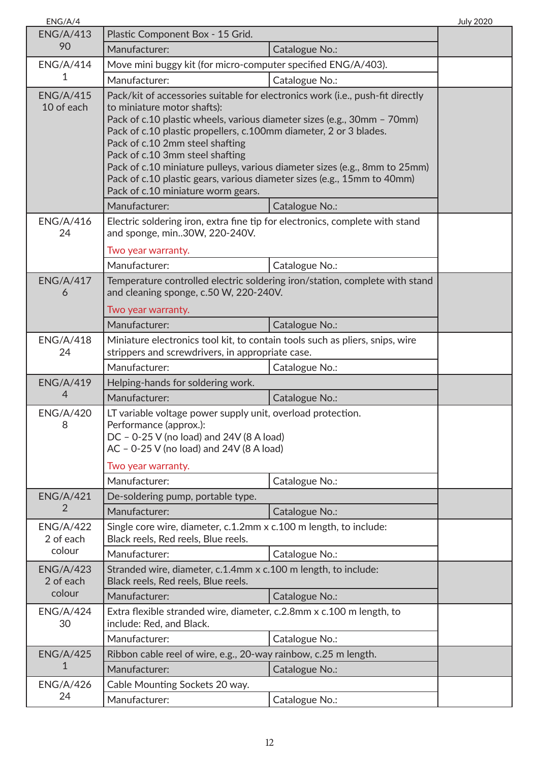| ENG/A/4                        |                                                                                                                                                                                                                                                                                                                                                                                                                                                                                                                                    |                                                                             | <b>July 2020</b> |
|--------------------------------|------------------------------------------------------------------------------------------------------------------------------------------------------------------------------------------------------------------------------------------------------------------------------------------------------------------------------------------------------------------------------------------------------------------------------------------------------------------------------------------------------------------------------------|-----------------------------------------------------------------------------|------------------|
| <b>ENG/A/413</b>               | Plastic Component Box - 15 Grid.                                                                                                                                                                                                                                                                                                                                                                                                                                                                                                   |                                                                             |                  |
| 90                             | Manufacturer:                                                                                                                                                                                                                                                                                                                                                                                                                                                                                                                      | Catalogue No.:                                                              |                  |
| <b>ENG/A/414</b>               | Move mini buggy kit (for micro-computer specified ENG/A/403).                                                                                                                                                                                                                                                                                                                                                                                                                                                                      |                                                                             |                  |
| 1                              | Manufacturer:                                                                                                                                                                                                                                                                                                                                                                                                                                                                                                                      | Catalogue No.:                                                              |                  |
| <b>ENG/A/415</b><br>10 of each | Pack/kit of accessories suitable for electronics work (i.e., push-fit directly<br>to miniature motor shafts):<br>Pack of c.10 plastic wheels, various diameter sizes (e.g., 30mm - 70mm)<br>Pack of c.10 plastic propellers, c.100mm diameter, 2 or 3 blades.<br>Pack of c.10 2mm steel shafting<br>Pack of c.10 3mm steel shafting<br>Pack of c.10 miniature pulleys, various diameter sizes (e.g., 8mm to 25mm)<br>Pack of c.10 plastic gears, various diameter sizes (e.g., 15mm to 40mm)<br>Pack of c.10 miniature worm gears. |                                                                             |                  |
|                                | Manufacturer:                                                                                                                                                                                                                                                                                                                                                                                                                                                                                                                      | Catalogue No.:                                                              |                  |
| <b>ENG/A/416</b><br>24         | Electric soldering iron, extra fine tip for electronics, complete with stand<br>and sponge, min30W, 220-240V.<br>Two year warranty.<br>Manufacturer:                                                                                                                                                                                                                                                                                                                                                                               | Catalogue No.:                                                              |                  |
| <b>ENG/A/417</b>               |                                                                                                                                                                                                                                                                                                                                                                                                                                                                                                                                    | Temperature controlled electric soldering iron/station, complete with stand |                  |
| 6                              | and cleaning sponge, c.50 W, 220-240V.<br>Two year warranty.<br>Manufacturer:                                                                                                                                                                                                                                                                                                                                                                                                                                                      | Catalogue No.:                                                              |                  |
| <b>ENG/A/418</b>               |                                                                                                                                                                                                                                                                                                                                                                                                                                                                                                                                    |                                                                             |                  |
| 24                             | Miniature electronics tool kit, to contain tools such as pliers, snips, wire<br>strippers and screwdrivers, in appropriate case.                                                                                                                                                                                                                                                                                                                                                                                                   |                                                                             |                  |
|                                | Manufacturer:                                                                                                                                                                                                                                                                                                                                                                                                                                                                                                                      | Catalogue No.:                                                              |                  |
| <b>ENG/A/419</b><br>4          | Helping-hands for soldering work.                                                                                                                                                                                                                                                                                                                                                                                                                                                                                                  |                                                                             |                  |
|                                | Manufacturer:                                                                                                                                                                                                                                                                                                                                                                                                                                                                                                                      | Catalogue No.:                                                              |                  |
| <b>ENG/A/420</b><br>8          | LT variable voltage power supply unit, overload protection.<br>Performance (approx.):<br>DC - 0-25 V (no load) and 24V (8 A load)<br>AC - 0-25 V (no load) and 24V (8 A load)<br>Two year warranty.                                                                                                                                                                                                                                                                                                                                |                                                                             |                  |
|                                | Manufacturer:                                                                                                                                                                                                                                                                                                                                                                                                                                                                                                                      | Catalogue No.:                                                              |                  |
| <b>ENG/A/421</b>               | De-soldering pump, portable type.                                                                                                                                                                                                                                                                                                                                                                                                                                                                                                  |                                                                             |                  |
| 2                              | Manufacturer:                                                                                                                                                                                                                                                                                                                                                                                                                                                                                                                      | Catalogue No.:                                                              |                  |
| <b>ENG/A/422</b><br>2 of each  | Single core wire, diameter, c.1.2mm x c.100 m length, to include:<br>Black reels, Red reels, Blue reels.                                                                                                                                                                                                                                                                                                                                                                                                                           |                                                                             |                  |
| colour                         | Manufacturer:                                                                                                                                                                                                                                                                                                                                                                                                                                                                                                                      | Catalogue No.:                                                              |                  |
| <b>ENG/A/423</b><br>2 of each  | Stranded wire, diameter, c.1.4mm x c.100 m length, to include:<br>Black reels, Red reels, Blue reels.                                                                                                                                                                                                                                                                                                                                                                                                                              |                                                                             |                  |
| colour                         | Manufacturer:                                                                                                                                                                                                                                                                                                                                                                                                                                                                                                                      | Catalogue No.:                                                              |                  |
| <b>ENG/A/424</b><br>30         | Extra flexible stranded wire, diameter, c.2.8mm x c.100 m length, to<br>include: Red, and Black.                                                                                                                                                                                                                                                                                                                                                                                                                                   |                                                                             |                  |
|                                | Manufacturer:                                                                                                                                                                                                                                                                                                                                                                                                                                                                                                                      | Catalogue No.:                                                              |                  |
| <b>ENG/A/425</b>               | Ribbon cable reel of wire, e.g., 20-way rainbow, c.25 m length.                                                                                                                                                                                                                                                                                                                                                                                                                                                                    |                                                                             |                  |
| 1                              | Manufacturer:                                                                                                                                                                                                                                                                                                                                                                                                                                                                                                                      | Catalogue No.:                                                              |                  |
| <b>ENG/A/426</b>               | Cable Mounting Sockets 20 way.                                                                                                                                                                                                                                                                                                                                                                                                                                                                                                     |                                                                             |                  |
| 24                             | Manufacturer:                                                                                                                                                                                                                                                                                                                                                                                                                                                                                                                      | Catalogue No.:                                                              |                  |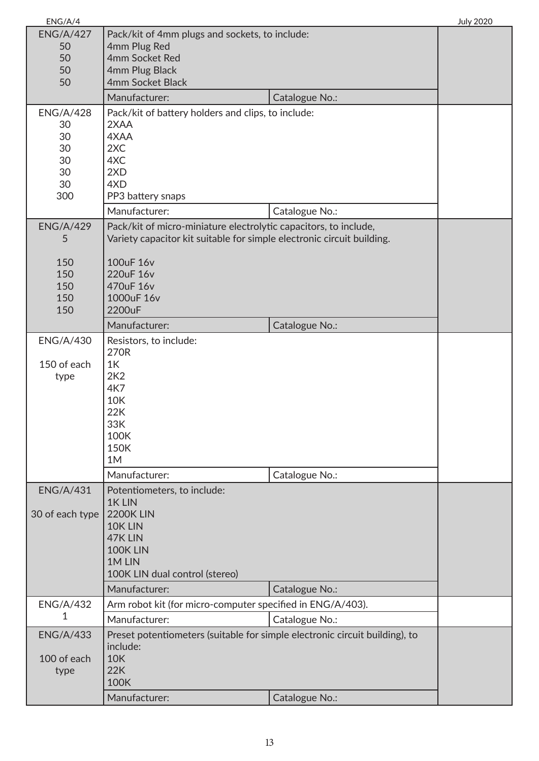| ENG/A/4          |                                                                             |                | <b>July 2020</b> |
|------------------|-----------------------------------------------------------------------------|----------------|------------------|
| <b>ENG/A/427</b> | Pack/kit of 4mm plugs and sockets, to include:                              |                |                  |
| 50               | 4mm Plug Red                                                                |                |                  |
| 50               | 4mm Socket Red                                                              |                |                  |
| 50               | 4mm Plug Black                                                              |                |                  |
| 50               | 4mm Socket Black                                                            |                |                  |
|                  | Manufacturer:                                                               | Catalogue No.: |                  |
| <b>ENG/A/428</b> | Pack/kit of battery holders and clips, to include:                          |                |                  |
| 30               | 2XAA                                                                        |                |                  |
| 30               | 4XAA                                                                        |                |                  |
| 30               | 2XC                                                                         |                |                  |
| 30               | 4XC                                                                         |                |                  |
| 30               | 2XD                                                                         |                |                  |
| 30               | 4XD                                                                         |                |                  |
| 300              | PP3 battery snaps                                                           |                |                  |
|                  | Manufacturer:                                                               | Catalogue No.: |                  |
| <b>ENG/A/429</b> | Pack/kit of micro-miniature electrolytic capacitors, to include,            |                |                  |
| 5                | Variety capacitor kit suitable for simple electronic circuit building.      |                |                  |
|                  |                                                                             |                |                  |
| 150              | 100uF 16v                                                                   |                |                  |
| 150              | 220uF 16v                                                                   |                |                  |
| 150              | 470uF 16v                                                                   |                |                  |
| 150              | 1000uF 16v                                                                  |                |                  |
| 150              | 2200uF                                                                      |                |                  |
|                  | Manufacturer:                                                               | Catalogue No.: |                  |
| <b>ENG/A/430</b> | Resistors, to include:                                                      |                |                  |
|                  | 270R                                                                        |                |                  |
| 150 of each      | 1K                                                                          |                |                  |
| type             | 2K2<br>4K7                                                                  |                |                  |
|                  | <b>10K</b>                                                                  |                |                  |
|                  | 22K                                                                         |                |                  |
|                  | 33K                                                                         |                |                  |
|                  | 100K                                                                        |                |                  |
|                  | <b>150K</b>                                                                 |                |                  |
|                  | 1M                                                                          |                |                  |
|                  | Manufacturer:                                                               | Catalogue No.: |                  |
| <b>ENG/A/431</b> | Potentiometers, to include:                                                 |                |                  |
|                  | 1K LIN                                                                      |                |                  |
| 30 of each type  | <b>2200K LIN</b>                                                            |                |                  |
|                  | 10K LIN                                                                     |                |                  |
|                  | 47K LIN                                                                     |                |                  |
|                  | 100K LIN                                                                    |                |                  |
|                  | 1M LIN                                                                      |                |                  |
|                  | 100K LIN dual control (stereo)                                              |                |                  |
|                  | Manufacturer:                                                               | Catalogue No.: |                  |
| <b>ENG/A/432</b> | Arm robot kit (for micro-computer specified in ENG/A/403).                  |                |                  |
| 1                | Manufacturer:                                                               | Catalogue No.: |                  |
| <b>ENG/A/433</b> | Preset potentiometers (suitable for simple electronic circuit building), to |                |                  |
|                  | include:                                                                    |                |                  |
| 100 of each      | <b>10K</b>                                                                  |                |                  |
| type             | 22K                                                                         |                |                  |
|                  | 100K                                                                        |                |                  |
|                  | Manufacturer:                                                               | Catalogue No.: |                  |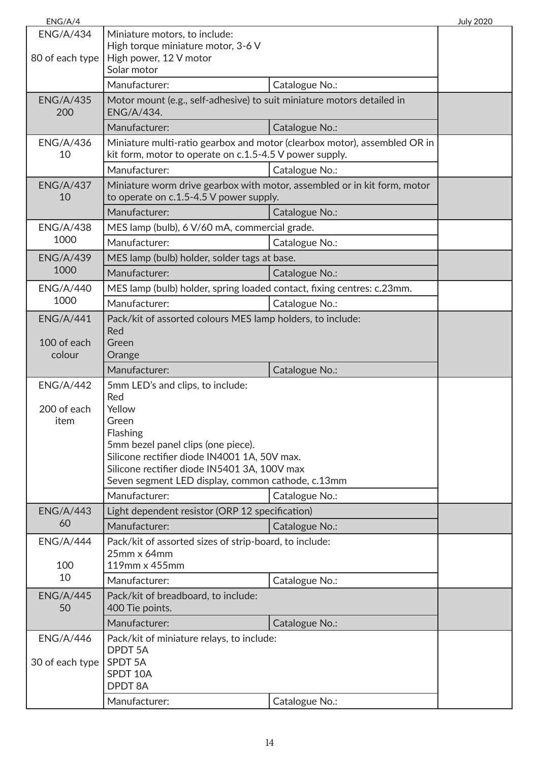| ENG/A/4                |                                                                          |                                                                           | <b>July 2020</b> |
|------------------------|--------------------------------------------------------------------------|---------------------------------------------------------------------------|------------------|
| <b>ENG/A/434</b>       | Miniature motors, to include:                                            |                                                                           |                  |
|                        | High torque miniature motor, 3-6 V                                       |                                                                           |                  |
| 80 of each type        | High power, 12 V motor<br>Solar motor                                    |                                                                           |                  |
|                        | Manufacturer:                                                            | Catalogue No.:                                                            |                  |
| <b>ENG/A/435</b>       | Motor mount (e.g., self-adhesive) to suit miniature motors detailed in   |                                                                           |                  |
| 200                    | ENG/A/434.                                                               |                                                                           |                  |
|                        | Manufacturer:                                                            | Catalogue No.:                                                            |                  |
| <b>ENG/A/436</b>       |                                                                          | Miniature multi-ratio gearbox and motor (clearbox motor), assembled OR in |                  |
| 10                     | kit form, motor to operate on c.1.5-4.5 V power supply.                  |                                                                           |                  |
|                        | Manufacturer:                                                            | Catalogue No.:                                                            |                  |
| <b>ENG/A/437</b><br>10 | to operate on c.1.5-4.5 V power supply.                                  | Miniature worm drive gearbox with motor, assembled or in kit form, motor  |                  |
|                        | Manufacturer:                                                            | Catalogue No.:                                                            |                  |
| <b>ENG/A/438</b>       | MES lamp (bulb), 6 V/60 mA, commercial grade.                            |                                                                           |                  |
| 1000                   | Manufacturer:                                                            | Catalogue No.:                                                            |                  |
| <b>ENG/A/439</b>       | MES lamp (bulb) holder, solder tags at base.                             |                                                                           |                  |
| 1000                   | Manufacturer:                                                            | Catalogue No.:                                                            |                  |
| <b>ENG/A/440</b>       | MES lamp (bulb) holder, spring loaded contact, fixing centres: c.23mm.   |                                                                           |                  |
| 1000                   | Manufacturer:                                                            | Catalogue No.:                                                            |                  |
| <b>ENG/A/441</b>       | Pack/kit of assorted colours MES lamp holders, to include:               |                                                                           |                  |
| 100 of each            | Red                                                                      |                                                                           |                  |
| colour                 | Green<br>Orange                                                          |                                                                           |                  |
|                        | Manufacturer:                                                            | Catalogue No.:                                                            |                  |
| <b>ENG/A/442</b>       | 5mm LED's and clips, to include:                                         |                                                                           |                  |
|                        |                                                                          |                                                                           |                  |
|                        | Red                                                                      |                                                                           |                  |
| 200 of each            | Yellow                                                                   |                                                                           |                  |
| item                   | Green                                                                    |                                                                           |                  |
|                        | Flashing<br>5mm bezel panel clips (one piece).                           |                                                                           |                  |
|                        | Silicone rectifier diode IN4001 1A, 50V max.                             |                                                                           |                  |
|                        | Silicone rectifier diode IN5401 3A, 100V max                             |                                                                           |                  |
|                        | Seven segment LED display, common cathode, c.13mm                        |                                                                           |                  |
|                        | Manufacturer:                                                            | Catalogue No.:                                                            |                  |
| <b>ENG/A/443</b><br>60 | Light dependent resistor (ORP 12 specification)                          |                                                                           |                  |
|                        | Manufacturer:                                                            | Catalogue No.:                                                            |                  |
| <b>ENG/A/444</b>       | Pack/kit of assorted sizes of strip-board, to include:<br>$25$ mm x 64mm |                                                                           |                  |
| 100                    | 119mm x 455mm                                                            |                                                                           |                  |
| 10                     | Manufacturer:                                                            | Catalogue No.:                                                            |                  |
| <b>ENG/A/445</b>       | Pack/kit of breadboard, to include:                                      |                                                                           |                  |
| 50                     | 400 Tie points.                                                          |                                                                           |                  |
|                        | Manufacturer:                                                            | Catalogue No.:                                                            |                  |
| <b>ENG/A/446</b>       | Pack/kit of miniature relays, to include:                                |                                                                           |                  |
|                        | <b>DPDT 5A</b>                                                           |                                                                           |                  |
| 30 of each type        | SPDT 5A<br>SPDT 10A                                                      |                                                                           |                  |
|                        | <b>DPDT 8A</b>                                                           |                                                                           |                  |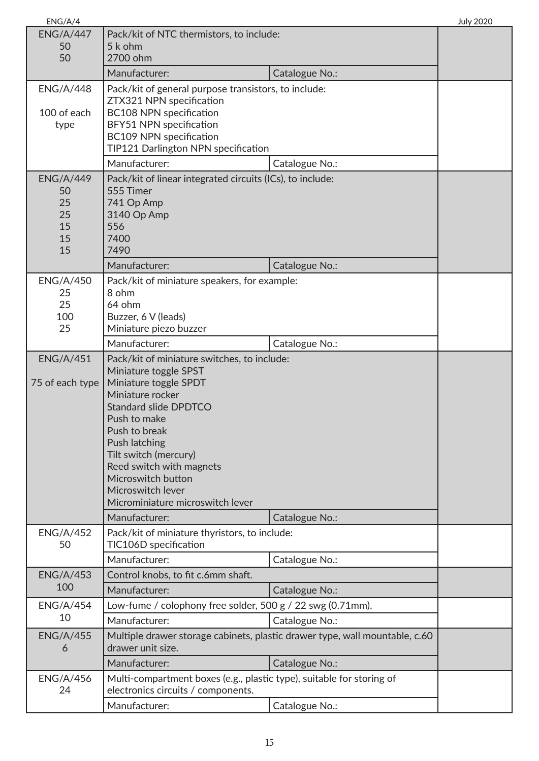| ENG/A/4                                              |                                                                                                                                                                                                                                                                                                                                                          |                                                                                               | <b>July 2020</b> |
|------------------------------------------------------|----------------------------------------------------------------------------------------------------------------------------------------------------------------------------------------------------------------------------------------------------------------------------------------------------------------------------------------------------------|-----------------------------------------------------------------------------------------------|------------------|
| <b>ENG/A/447</b><br>50<br>50                         | Pack/kit of NTC thermistors, to include:<br>5 k ohm<br>2700 ohm                                                                                                                                                                                                                                                                                          |                                                                                               |                  |
|                                                      | Manufacturer:                                                                                                                                                                                                                                                                                                                                            | Catalogue No.:                                                                                |                  |
| <b>ENG/A/448</b><br>100 of each<br>type              | Pack/kit of general purpose transistors, to include:<br>ZTX321 NPN specification<br><b>BC108 NPN specification</b><br>BFY51 NPN specification<br>BC109 NPN specification<br>TIP121 Darlington NPN specification<br>Manufacturer:                                                                                                                         |                                                                                               |                  |
|                                                      |                                                                                                                                                                                                                                                                                                                                                          | Catalogue No.:                                                                                |                  |
| <b>ENG/A/449</b><br>50<br>25<br>25<br>15<br>15<br>15 | Pack/kit of linear integrated circuits (ICs), to include:<br>555 Timer<br>741 Op Amp<br>3140 Op Amp<br>556<br>7400<br>7490                                                                                                                                                                                                                               |                                                                                               |                  |
|                                                      | Manufacturer:                                                                                                                                                                                                                                                                                                                                            | Catalogue No.:                                                                                |                  |
| <b>ENG/A/450</b><br>25<br>25<br>100<br>25            | Pack/kit of miniature speakers, for example:<br>8 ohm<br>64 ohm<br>Buzzer, 6 V (leads)<br>Miniature piezo buzzer                                                                                                                                                                                                                                         |                                                                                               |                  |
|                                                      | Manufacturer:                                                                                                                                                                                                                                                                                                                                            | Catalogue No.:                                                                                |                  |
| <b>ENG/A/451</b><br>75 of each type                  | Pack/kit of miniature switches, to include:<br>Miniature toggle SPST<br>Miniature toggle SPDT<br>Miniature rocker<br><b>Standard slide DPDTCO</b><br>Push to make<br>Push to break<br>Push latching<br>Tilt switch (mercury)<br>Reed switch with magnets<br>Microswitch button<br>Microswitch lever<br>Microminiature microswitch lever<br>Manufacturer: | Catalogue No.:                                                                                |                  |
| <b>ENG/A/452</b>                                     | Pack/kit of miniature thyristors, to include:                                                                                                                                                                                                                                                                                                            |                                                                                               |                  |
| 50                                                   | TIC106D specification<br>Manufacturer:                                                                                                                                                                                                                                                                                                                   | Catalogue No.:                                                                                |                  |
| <b>ENG/A/453</b>                                     | Control knobs, to fit c.6mm shaft.                                                                                                                                                                                                                                                                                                                       |                                                                                               |                  |
| 100                                                  | Manufacturer:                                                                                                                                                                                                                                                                                                                                            | Catalogue No.:                                                                                |                  |
| <b>ENG/A/454</b><br>10                               | Low-fume / colophony free solder, 500 g / 22 swg (0.71mm).                                                                                                                                                                                                                                                                                               |                                                                                               |                  |
|                                                      | Manufacturer:                                                                                                                                                                                                                                                                                                                                            | Catalogue No.:                                                                                |                  |
| <b>ENG/A/455</b><br>6                                | drawer unit size.<br>Manufacturer:                                                                                                                                                                                                                                                                                                                       | Multiple drawer storage cabinets, plastic drawer type, wall mountable, c.60<br>Catalogue No.: |                  |
| <b>ENG/A/456</b>                                     | Multi-compartment boxes (e.g., plastic type), suitable for storing of                                                                                                                                                                                                                                                                                    |                                                                                               |                  |
| 24                                                   | electronics circuits / components.                                                                                                                                                                                                                                                                                                                       |                                                                                               |                  |
|                                                      | Manufacturer:                                                                                                                                                                                                                                                                                                                                            | Catalogue No.:                                                                                |                  |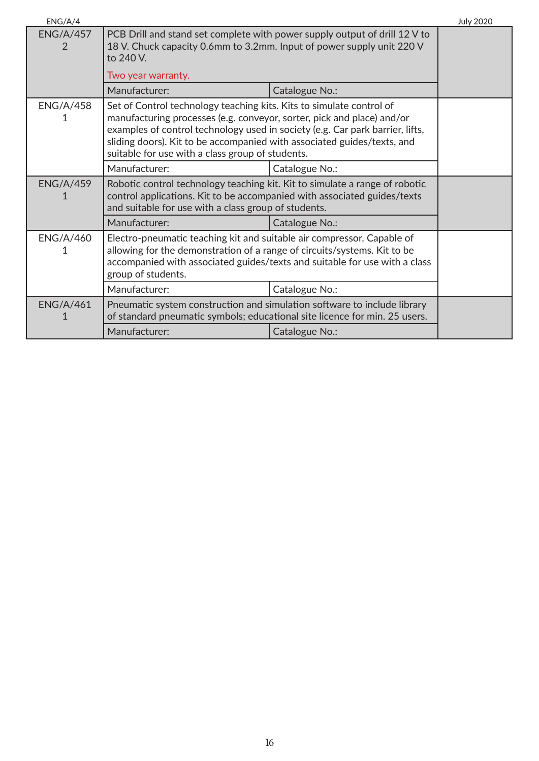| ENG/A/4                            |                                                                                                                                                                                                                                                                                                                                                                |                | <b>July 2020</b> |
|------------------------------------|----------------------------------------------------------------------------------------------------------------------------------------------------------------------------------------------------------------------------------------------------------------------------------------------------------------------------------------------------------------|----------------|------------------|
| <b>ENG/A/457</b><br>$\overline{2}$ | PCB Drill and stand set complete with power supply output of drill 12 V to<br>18 V. Chuck capacity 0.6mm to 3.2mm. Input of power supply unit 220 V<br>to 240 V.                                                                                                                                                                                               |                |                  |
|                                    | Two year warranty.                                                                                                                                                                                                                                                                                                                                             |                |                  |
|                                    | Manufacturer:                                                                                                                                                                                                                                                                                                                                                  | Catalogue No.: |                  |
| <b>ENG/A/458</b>                   | Set of Control technology teaching kits. Kits to simulate control of<br>manufacturing processes (e.g. conveyor, sorter, pick and place) and/or<br>examples of control technology used in society (e.g. Car park barrier, lifts,<br>sliding doors). Kit to be accompanied with associated guides/texts, and<br>suitable for use with a class group of students. |                |                  |
|                                    | Manufacturer:                                                                                                                                                                                                                                                                                                                                                  | Catalogue No.: |                  |
| <b>ENG/A/459</b>                   | Robotic control technology teaching kit. Kit to simulate a range of robotic<br>control applications. Kit to be accompanied with associated guides/texts<br>and suitable for use with a class group of students.                                                                                                                                                |                |                  |
|                                    | Manufacturer:                                                                                                                                                                                                                                                                                                                                                  | Catalogue No.: |                  |
| <b>ENG/A/460</b>                   | Electro-pneumatic teaching kit and suitable air compressor. Capable of<br>allowing for the demonstration of a range of circuits/systems. Kit to be<br>accompanied with associated guides/texts and suitable for use with a class<br>group of students.                                                                                                         |                |                  |
|                                    | Manufacturer:                                                                                                                                                                                                                                                                                                                                                  | Catalogue No.: |                  |
| <b>ENG/A/461</b>                   | Pneumatic system construction and simulation software to include library<br>of standard pneumatic symbols; educational site licence for min. 25 users.                                                                                                                                                                                                         |                |                  |
|                                    | Manufacturer:                                                                                                                                                                                                                                                                                                                                                  | Catalogue No.: |                  |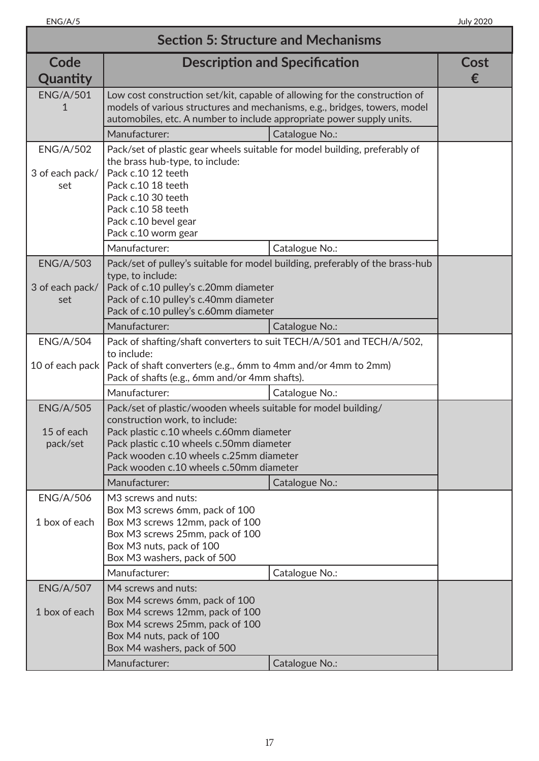| <b>Section 5: Structure and Mechanisms</b> |                                                                                                                                                                                                                                                                                |                                                                           |           |
|--------------------------------------------|--------------------------------------------------------------------------------------------------------------------------------------------------------------------------------------------------------------------------------------------------------------------------------|---------------------------------------------------------------------------|-----------|
| Code<br>Quantity                           |                                                                                                                                                                                                                                                                                | <b>Description and Specification</b>                                      | Cost<br>€ |
| <b>ENG/A/501</b><br>1                      | Low cost construction set/kit, capable of allowing for the construction of<br>automobiles, etc. A number to include appropriate power supply units.                                                                                                                            | models of various structures and mechanisms, e.g., bridges, towers, model |           |
|                                            | Manufacturer:                                                                                                                                                                                                                                                                  | Catalogue No.:                                                            |           |
| <b>ENG/A/502</b><br>3 of each pack/<br>set | Pack/set of plastic gear wheels suitable for model building, preferably of<br>the brass hub-type, to include:<br>Pack c.10 12 teeth<br>Pack c.10 18 teeth<br>Pack c.10 30 teeth                                                                                                |                                                                           |           |
|                                            | Pack c.10 58 teeth<br>Pack c.10 bevel gear                                                                                                                                                                                                                                     |                                                                           |           |
|                                            | Pack c.10 worm gear                                                                                                                                                                                                                                                            |                                                                           |           |
|                                            | Manufacturer:                                                                                                                                                                                                                                                                  | Catalogue No.:                                                            |           |
| <b>ENG/A/503</b><br>3 of each pack/<br>set | Pack/set of pulley's suitable for model building, preferably of the brass-hub<br>type, to include:<br>Pack of c.10 pulley's c.20mm diameter<br>Pack of c.10 pulley's c.40mm diameter<br>Pack of c.10 pulley's c.60mm diameter                                                  |                                                                           |           |
|                                            | Manufacturer:                                                                                                                                                                                                                                                                  | Catalogue No.:                                                            |           |
| <b>ENG/A/504</b><br>10 of each pack        | Pack of shafting/shaft converters to suit TECH/A/501 and TECH/A/502,<br>to include:<br>Pack of shaft converters (e.g., 6mm to 4mm and/or 4mm to 2mm)<br>Pack of shafts (e.g., 6mm and/or 4mm shafts).                                                                          |                                                                           |           |
|                                            | Manufacturer:                                                                                                                                                                                                                                                                  | Catalogue No.:                                                            |           |
| <b>ENG/A/505</b><br>15 of each<br>pack/set | Pack/set of plastic/wooden wheels suitable for model building/<br>construction work, to include:<br>Pack plastic c.10 wheels c.60mm diameter<br>Pack plastic c.10 wheels c.50mm diameter<br>Pack wooden c.10 wheels c.25mm diameter<br>Pack wooden c.10 wheels c.50mm diameter |                                                                           |           |
|                                            | Manufacturer:                                                                                                                                                                                                                                                                  | Catalogue No.:                                                            |           |
| <b>ENG/A/506</b><br>1 box of each          | M3 screws and nuts:<br>Box M3 screws 6mm, pack of 100<br>Box M3 screws 12mm, pack of 100<br>Box M3 screws 25mm, pack of 100<br>Box M3 nuts, pack of 100<br>Box M3 washers, pack of 500                                                                                         |                                                                           |           |
|                                            | Manufacturer:                                                                                                                                                                                                                                                                  | Catalogue No.:                                                            |           |
| <b>ENG/A/507</b><br>1 box of each          | M4 screws and nuts:<br>Box M4 screws 6mm, pack of 100<br>Box M4 screws 12mm, pack of 100<br>Box M4 screws 25mm, pack of 100<br>Box M4 nuts, pack of 100<br>Box M4 washers, pack of 500<br>Manufacturer:                                                                        | Catalogue No.:                                                            |           |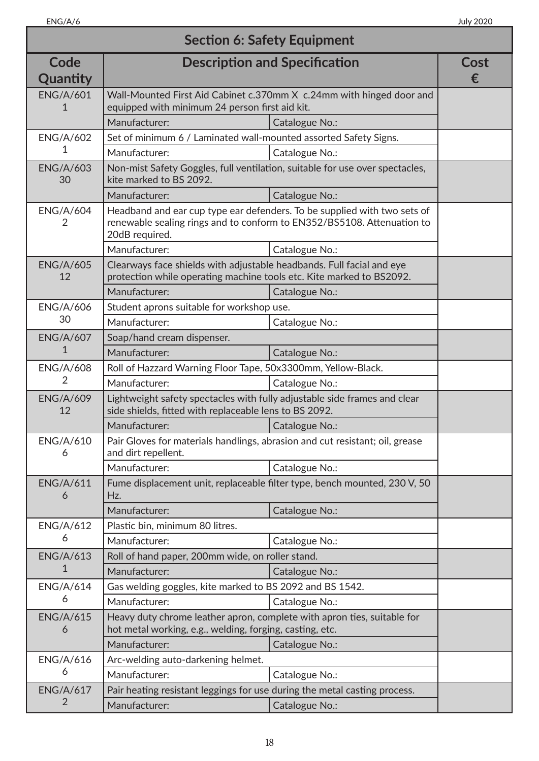| <b>Section 6: Safety Equipment</b> |                                                                                                                                               |                                                                                                                                                    |           |
|------------------------------------|-----------------------------------------------------------------------------------------------------------------------------------------------|----------------------------------------------------------------------------------------------------------------------------------------------------|-----------|
| Code<br>Quantity                   |                                                                                                                                               | <b>Description and Specification</b>                                                                                                               | Cost<br>€ |
| <b>ENG/A/601</b><br>1              | equipped with minimum 24 person first aid kit.                                                                                                | Wall-Mounted First Aid Cabinet c.370mm X c.24mm with hinged door and                                                                               |           |
|                                    | Manufacturer:                                                                                                                                 | Catalogue No.:                                                                                                                                     |           |
| <b>ENG/A/602</b>                   | Set of minimum 6 / Laminated wall-mounted assorted Safety Signs.                                                                              |                                                                                                                                                    |           |
| 1                                  | Manufacturer:                                                                                                                                 | Catalogue No.:                                                                                                                                     |           |
| <b>ENG/A/603</b><br>30             | Non-mist Safety Goggles, full ventilation, suitable for use over spectacles,<br>kite marked to BS 2092.                                       |                                                                                                                                                    |           |
|                                    | Manufacturer:                                                                                                                                 | Catalogue No.:                                                                                                                                     |           |
| <b>ENG/A/604</b><br>2              | 20dB required.                                                                                                                                | Headband and ear cup type ear defenders. To be supplied with two sets of<br>renewable sealing rings and to conform to EN352/BS5108. Attenuation to |           |
|                                    | Manufacturer:                                                                                                                                 | Catalogue No.:                                                                                                                                     |           |
| <b>ENG/A/605</b><br>12             | Clearways face shields with adjustable headbands. Full facial and eye<br>protection while operating machine tools etc. Kite marked to BS2092. |                                                                                                                                                    |           |
|                                    | Manufacturer:                                                                                                                                 | Catalogue No.:                                                                                                                                     |           |
| <b>ENG/A/606</b>                   | Student aprons suitable for workshop use.                                                                                                     |                                                                                                                                                    |           |
| 30                                 | Manufacturer:                                                                                                                                 | Catalogue No.:                                                                                                                                     |           |
| <b>ENG/A/607</b>                   | Soap/hand cream dispenser.                                                                                                                    |                                                                                                                                                    |           |
| 1                                  | Manufacturer:                                                                                                                                 | Catalogue No.:                                                                                                                                     |           |
| <b>ENG/A/608</b>                   | Roll of Hazzard Warning Floor Tape, 50x3300mm, Yellow-Black.                                                                                  |                                                                                                                                                    |           |
| 2                                  | Manufacturer:                                                                                                                                 | Catalogue No.:                                                                                                                                     |           |
| <b>ENG/A/609</b><br>12             | Lightweight safety spectacles with fully adjustable side frames and clear<br>side shields, fitted with replaceable lens to BS 2092.           |                                                                                                                                                    |           |
|                                    | Manufacturer:                                                                                                                                 | Catalogue No.:                                                                                                                                     |           |
| <b>ENG/A/610</b><br>6              | Pair Gloves for materials handlings, abrasion and cut resistant; oil, grease<br>and dirt repellent.                                           |                                                                                                                                                    |           |
|                                    | Manufacturer:                                                                                                                                 | Catalogue No.:                                                                                                                                     |           |
| <b>ENG/A/611</b><br>6              | Hz.                                                                                                                                           | Fume displacement unit, replaceable filter type, bench mounted, 230 V, 50                                                                          |           |
|                                    | Manufacturer:                                                                                                                                 | Catalogue No.:                                                                                                                                     |           |
| <b>ENG/A/612</b>                   | Plastic bin, minimum 80 litres.                                                                                                               |                                                                                                                                                    |           |
| 6                                  | Manufacturer:                                                                                                                                 | Catalogue No.:                                                                                                                                     |           |
| <b>ENG/A/613</b>                   | Roll of hand paper, 200mm wide, on roller stand.                                                                                              |                                                                                                                                                    |           |
| 1                                  | Manufacturer:                                                                                                                                 | Catalogue No.:                                                                                                                                     |           |
| <b>ENG/A/614</b>                   | Gas welding goggles, kite marked to BS 2092 and BS 1542.                                                                                      |                                                                                                                                                    |           |
| 6                                  | Manufacturer:                                                                                                                                 | Catalogue No.:                                                                                                                                     |           |
| <b>ENG/A/615</b><br>6              | Heavy duty chrome leather apron, complete with apron ties, suitable for<br>hot metal working, e.g., welding, forging, casting, etc.           |                                                                                                                                                    |           |
|                                    | Manufacturer:                                                                                                                                 | Catalogue No.:                                                                                                                                     |           |
| <b>ENG/A/616</b>                   | Arc-welding auto-darkening helmet.                                                                                                            |                                                                                                                                                    |           |
| 6                                  | Manufacturer:                                                                                                                                 | Catalogue No.:                                                                                                                                     |           |
| <b>ENG/A/617</b>                   | Pair heating resistant leggings for use during the metal casting process.                                                                     |                                                                                                                                                    |           |
| $\overline{2}$                     | Manufacturer:                                                                                                                                 | Catalogue No.:                                                                                                                                     |           |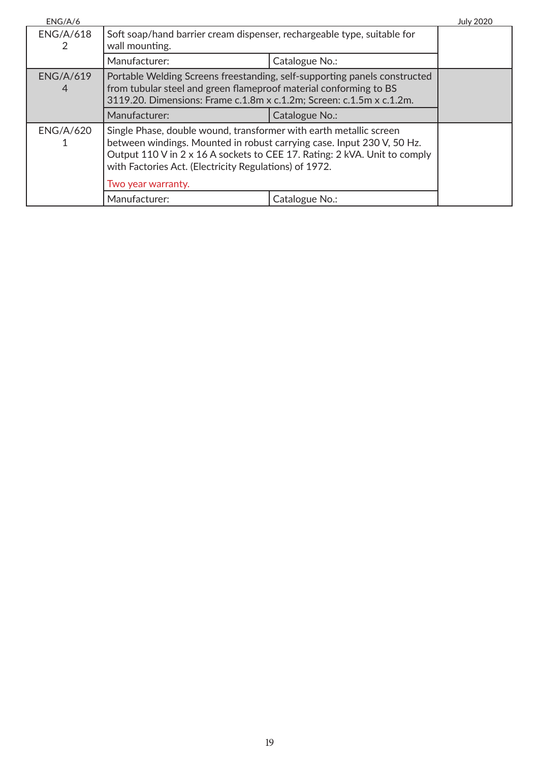| ENG/A/6               |                                                                                                                                                                                                                                                                                     |                | <b>July 2020</b> |
|-----------------------|-------------------------------------------------------------------------------------------------------------------------------------------------------------------------------------------------------------------------------------------------------------------------------------|----------------|------------------|
| <b>ENG/A/618</b>      | Soft soap/hand barrier cream dispenser, rechargeable type, suitable for<br>wall mounting.                                                                                                                                                                                           |                |                  |
|                       | Manufacturer:                                                                                                                                                                                                                                                                       | Catalogue No.: |                  |
| <b>ENG/A/619</b><br>4 | Portable Welding Screens freestanding, self-supporting panels constructed<br>from tubular steel and green flameproof material conforming to BS<br>3119.20. Dimensions: Frame c.1.8m x c.1.2m; Screen: c.1.5m x c.1.2m.                                                              |                |                  |
|                       | Manufacturer:                                                                                                                                                                                                                                                                       | Catalogue No.: |                  |
| <b>ENG/A/620</b>      | Single Phase, double wound, transformer with earth metallic screen<br>between windings. Mounted in robust carrying case. Input 230 V, 50 Hz.<br>Output 110 V in 2 x 16 A sockets to CEE 17. Rating: 2 kVA. Unit to comply<br>with Factories Act. (Electricity Regulations) of 1972. |                |                  |
|                       | Two year warranty.                                                                                                                                                                                                                                                                  |                |                  |
|                       | Manufacturer:                                                                                                                                                                                                                                                                       | Catalogue No.: |                  |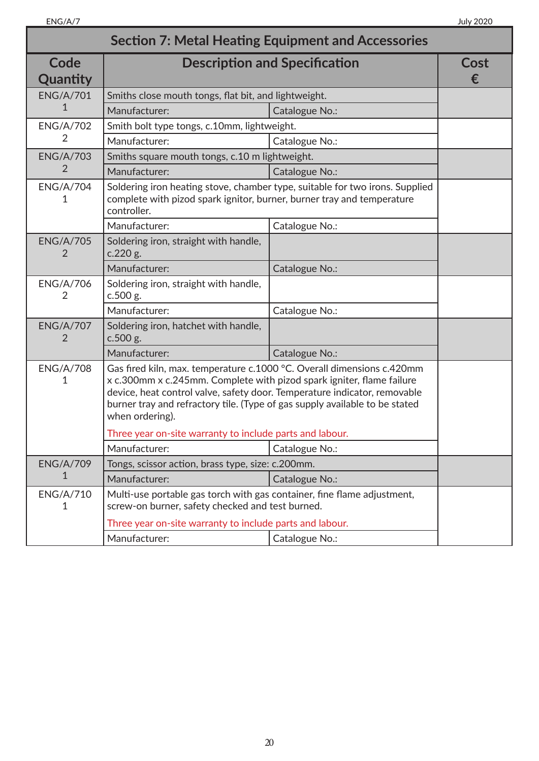| <b>Section 7: Metal Heating Equipment and Accessories</b> |                                                                                                                                                                                                                                                                                                                                |                                                                              |           |
|-----------------------------------------------------------|--------------------------------------------------------------------------------------------------------------------------------------------------------------------------------------------------------------------------------------------------------------------------------------------------------------------------------|------------------------------------------------------------------------------|-----------|
| Code<br>Quantity                                          |                                                                                                                                                                                                                                                                                                                                | <b>Description and Specification</b>                                         | Cost<br>€ |
| <b>ENG/A/701</b>                                          | Smiths close mouth tongs, flat bit, and lightweight.                                                                                                                                                                                                                                                                           |                                                                              |           |
| 1                                                         | Manufacturer:                                                                                                                                                                                                                                                                                                                  | Catalogue No.:                                                               |           |
| <b>ENG/A/702</b>                                          | Smith bolt type tongs, c.10mm, lightweight.                                                                                                                                                                                                                                                                                    |                                                                              |           |
| 2                                                         | Manufacturer:                                                                                                                                                                                                                                                                                                                  | Catalogue No.:                                                               |           |
| <b>ENG/A/703</b>                                          | Smiths square mouth tongs, c.10 m lightweight.                                                                                                                                                                                                                                                                                 |                                                                              |           |
| 2                                                         | Manufacturer:                                                                                                                                                                                                                                                                                                                  | Catalogue No.:                                                               |           |
| <b>ENG/A/704</b><br>1                                     | complete with pizod spark ignitor, burner, burner tray and temperature<br>controller.                                                                                                                                                                                                                                          | Soldering iron heating stove, chamber type, suitable for two irons. Supplied |           |
|                                                           | Manufacturer:                                                                                                                                                                                                                                                                                                                  | Catalogue No.:                                                               |           |
| <b>ENG/A/705</b><br>2                                     | Soldering iron, straight with handle,<br>c.220 g.                                                                                                                                                                                                                                                                              |                                                                              |           |
|                                                           | Manufacturer:                                                                                                                                                                                                                                                                                                                  | Catalogue No.:                                                               |           |
| <b>ENG/A/706</b><br>2                                     | Soldering iron, straight with handle,<br>c.500 g.                                                                                                                                                                                                                                                                              |                                                                              |           |
|                                                           | Manufacturer:                                                                                                                                                                                                                                                                                                                  | Catalogue No.:                                                               |           |
| <b>ENG/A/707</b><br>2                                     | Soldering iron, hatchet with handle,<br>c.500 g.                                                                                                                                                                                                                                                                               |                                                                              |           |
|                                                           | Manufacturer:                                                                                                                                                                                                                                                                                                                  | Catalogue No.:                                                               |           |
| <b>ENG/A/708</b><br>1                                     | Gas fired kiln, max. temperature c.1000 °C. Overall dimensions c.420mm<br>x c.300mm x c.245mm. Complete with pizod spark igniter, flame failure<br>device, heat control valve, safety door. Temperature indicator, removable<br>burner tray and refractory tile. (Type of gas supply available to be stated<br>when ordering). |                                                                              |           |
|                                                           | Three year on-site warranty to include parts and labour.                                                                                                                                                                                                                                                                       |                                                                              |           |
|                                                           | Manufacturer:                                                                                                                                                                                                                                                                                                                  | Catalogue No.:                                                               |           |
| <b>ENG/A/709</b>                                          | Tongs, scissor action, brass type, size: c.200mm.                                                                                                                                                                                                                                                                              |                                                                              |           |
| 1                                                         | Manufacturer:                                                                                                                                                                                                                                                                                                                  | Catalogue No.:                                                               |           |
| <b>ENG/A/710</b><br>1                                     | Multi-use portable gas torch with gas container, fine flame adjustment,<br>screw-on burner, safety checked and test burned.                                                                                                                                                                                                    |                                                                              |           |
|                                                           | Three year on-site warranty to include parts and labour.                                                                                                                                                                                                                                                                       |                                                                              |           |
|                                                           | Manufacturer:                                                                                                                                                                                                                                                                                                                  | Catalogue No.:                                                               |           |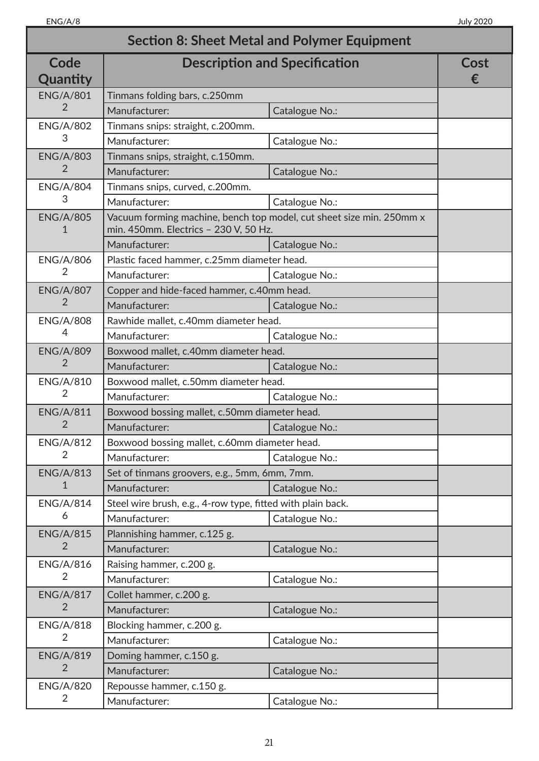|                       |                                                             | <b>Section 8: Sheet Metal and Polymer Equipment</b>                  |           |
|-----------------------|-------------------------------------------------------------|----------------------------------------------------------------------|-----------|
| Code<br>Quantity      | <b>Description and Specification</b>                        |                                                                      | Cost<br>€ |
| <b>ENG/A/801</b>      | Tinmans folding bars, c.250mm                               |                                                                      |           |
| 2                     | Manufacturer:                                               | Catalogue No.:                                                       |           |
| <b>ENG/A/802</b>      | Tinmans snips: straight, c.200mm.                           |                                                                      |           |
| 3                     | Manufacturer:                                               | Catalogue No.:                                                       |           |
| <b>ENG/A/803</b>      | Tinmans snips, straight, c.150mm.                           |                                                                      |           |
| 2                     | Manufacturer:                                               | Catalogue No.:                                                       |           |
| <b>ENG/A/804</b>      | Tinmans snips, curved, c.200mm.                             |                                                                      |           |
| 3                     | Manufacturer:                                               | Catalogue No.:                                                       |           |
| <b>ENG/A/805</b><br>1 | min. 450mm. Electrics - 230 V, 50 Hz.                       | Vacuum forming machine, bench top model, cut sheet size min. 250mm x |           |
|                       | Manufacturer:                                               | Catalogue No.:                                                       |           |
| <b>ENG/A/806</b>      | Plastic faced hammer, c.25mm diameter head.                 |                                                                      |           |
| 2                     | Manufacturer:                                               | Catalogue No.:                                                       |           |
| <b>ENG/A/807</b>      | Copper and hide-faced hammer, c.40mm head.                  |                                                                      |           |
| $\overline{2}$        | Manufacturer:                                               | Catalogue No.:                                                       |           |
| <b>ENG/A/808</b>      | Rawhide mallet, c.40mm diameter head.                       |                                                                      |           |
| 4                     | Manufacturer:                                               | Catalogue No.:                                                       |           |
| <b>ENG/A/809</b>      | Boxwood mallet, c.40mm diameter head.                       |                                                                      |           |
| 2                     | Manufacturer:                                               | Catalogue No.:                                                       |           |
| <b>ENG/A/810</b>      | Boxwood mallet, c.50mm diameter head.                       |                                                                      |           |
| 2                     | Manufacturer:                                               | Catalogue No.:                                                       |           |
| <b>ENG/A/811</b>      | Boxwood bossing mallet, c.50mm diameter head.               |                                                                      |           |
| $\overline{2}$        | Manufacturer:                                               | Catalogue No.:                                                       |           |
| <b>ENG/A/812</b>      | Boxwood bossing mallet, c.60mm diameter head.               |                                                                      |           |
| 2                     | Manufacturer:                                               | Catalogue No.:                                                       |           |
| <b>ENG/A/813</b>      | Set of tinmans groovers, e.g., 5mm, 6mm, 7mm.               |                                                                      |           |
| 1                     | Manufacturer:                                               | Catalogue No.:                                                       |           |
| <b>ENG/A/814</b>      | Steel wire brush, e.g., 4-row type, fitted with plain back. |                                                                      |           |
| 6                     | Manufacturer:                                               | Catalogue No.:                                                       |           |
| <b>ENG/A/815</b>      | Plannishing hammer, c.125 g.                                |                                                                      |           |
| $\overline{2}$        | Manufacturer:                                               | Catalogue No.:                                                       |           |
| <b>ENG/A/816</b>      | Raising hammer, c.200 g.                                    |                                                                      |           |
| 2                     | Manufacturer:                                               | Catalogue No.:                                                       |           |
| <b>ENG/A/817</b>      | Collet hammer, c.200 g.                                     |                                                                      |           |
| 2                     | Manufacturer:                                               | Catalogue No.:                                                       |           |
| <b>ENG/A/818</b>      | Blocking hammer, c.200 g.                                   |                                                                      |           |
| $\overline{2}$        | Manufacturer:                                               | Catalogue No.:                                                       |           |
| <b>ENG/A/819</b>      | Doming hammer, c.150 g.                                     |                                                                      |           |
| $\overline{2}$        | Manufacturer:                                               | Catalogue No.:                                                       |           |
| <b>ENG/A/820</b>      | Repousse hammer, c.150 g.                                   |                                                                      |           |
| 2                     | Manufacturer:                                               | Catalogue No.:                                                       |           |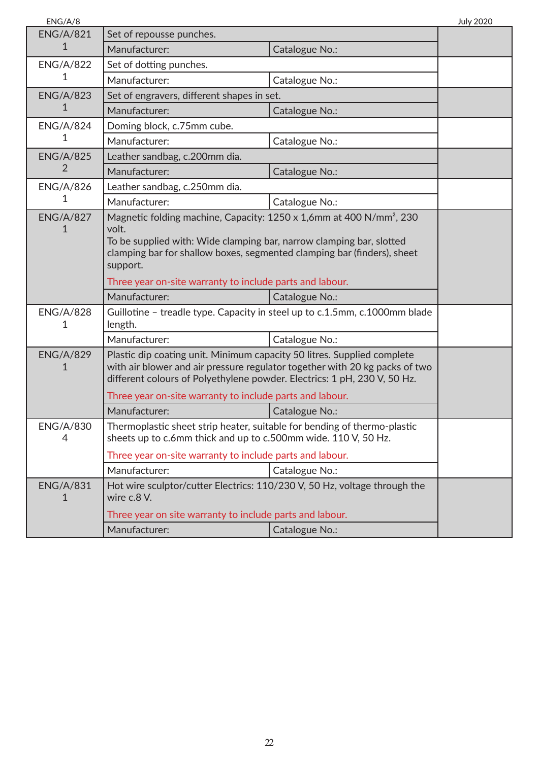| ENG/A/8               |                                                                                                                                                                                                                                                         |                | <b>July 2020</b> |
|-----------------------|---------------------------------------------------------------------------------------------------------------------------------------------------------------------------------------------------------------------------------------------------------|----------------|------------------|
| <b>ENG/A/821</b>      | Set of repousse punches.                                                                                                                                                                                                                                |                |                  |
| 1                     | Manufacturer:                                                                                                                                                                                                                                           | Catalogue No.: |                  |
| <b>ENG/A/822</b>      | Set of dotting punches.                                                                                                                                                                                                                                 |                |                  |
| 1                     | Manufacturer:                                                                                                                                                                                                                                           | Catalogue No.: |                  |
| <b>ENG/A/823</b>      | Set of engravers, different shapes in set.                                                                                                                                                                                                              |                |                  |
| 1                     | Manufacturer:                                                                                                                                                                                                                                           | Catalogue No.: |                  |
| <b>ENG/A/824</b>      | Doming block, c.75mm cube.                                                                                                                                                                                                                              |                |                  |
| 1                     | Manufacturer:                                                                                                                                                                                                                                           | Catalogue No.: |                  |
| <b>ENG/A/825</b>      | Leather sandbag, c.200mm dia.                                                                                                                                                                                                                           |                |                  |
| 2                     | Manufacturer:                                                                                                                                                                                                                                           | Catalogue No.: |                  |
| <b>ENG/A/826</b>      | Leather sandbag, c.250mm dia.                                                                                                                                                                                                                           |                |                  |
| 1                     | Manufacturer:                                                                                                                                                                                                                                           | Catalogue No.: |                  |
| <b>ENG/A/827</b><br>1 | Magnetic folding machine, Capacity: 1250 x 1,6mm at 400 N/mm <sup>2</sup> , 230<br>volt.<br>To be supplied with: Wide clamping bar, narrow clamping bar, slotted<br>clamping bar for shallow boxes, segmented clamping bar (finders), sheet<br>support. |                |                  |
|                       | Three year on-site warranty to include parts and labour.                                                                                                                                                                                                |                |                  |
|                       | Manufacturer:                                                                                                                                                                                                                                           | Catalogue No.: |                  |
| <b>ENG/A/828</b><br>1 | Guillotine - treadle type. Capacity in steel up to c.1.5mm, c.1000mm blade<br>length.                                                                                                                                                                   |                |                  |
|                       | Manufacturer:                                                                                                                                                                                                                                           | Catalogue No.: |                  |
| <b>ENG/A/829</b><br>1 | Plastic dip coating unit. Minimum capacity 50 litres. Supplied complete<br>with air blower and air pressure regulator together with 20 kg packs of two<br>different colours of Polyethylene powder. Electrics: 1 pH, 230 V, 50 Hz.                      |                |                  |
|                       | Three year on-site warranty to include parts and labour.                                                                                                                                                                                                |                |                  |
|                       | Manufacturer:                                                                                                                                                                                                                                           | Catalogue No.: |                  |
| <b>ENG/A/830</b><br>4 | Thermoplastic sheet strip heater, suitable for bending of thermo-plastic<br>sheets up to c.6mm thick and up to c.500mm wide. 110 V, 50 Hz.                                                                                                              |                |                  |
|                       | Three year on-site warranty to include parts and labour.                                                                                                                                                                                                |                |                  |
|                       | Manufacturer:                                                                                                                                                                                                                                           | Catalogue No.: |                  |
| <b>ENG/A/831</b><br>1 | Hot wire sculptor/cutter Electrics: 110/230 V, 50 Hz, voltage through the<br>wire c.8 V.                                                                                                                                                                |                |                  |
|                       | Three year on site warranty to include parts and labour.                                                                                                                                                                                                |                |                  |
|                       | Manufacturer:                                                                                                                                                                                                                                           | Catalogue No.: |                  |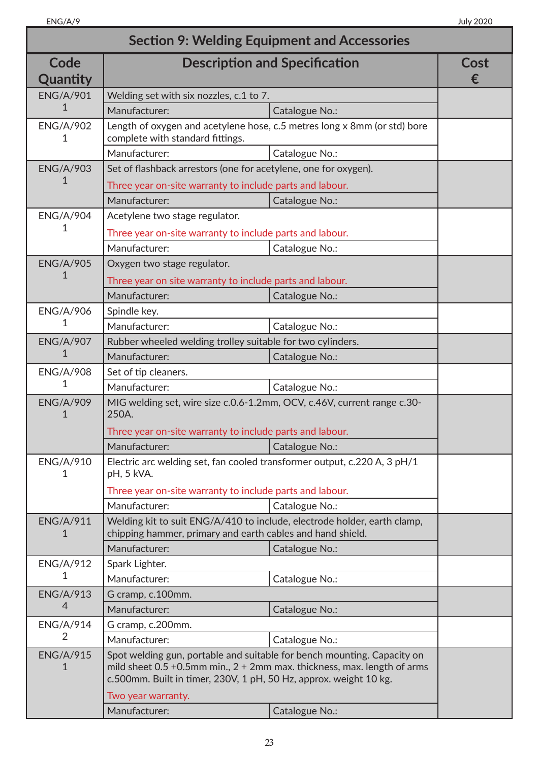| <b>Section 9: Welding Equipment and Accessories</b> |                                                                                                                                                                    |                                                                              |           |
|-----------------------------------------------------|--------------------------------------------------------------------------------------------------------------------------------------------------------------------|------------------------------------------------------------------------------|-----------|
| Code<br>Quantity                                    | <b>Description and Specification</b>                                                                                                                               |                                                                              | Cost<br>€ |
| <b>ENG/A/901</b>                                    | Welding set with six nozzles, c.1 to 7.                                                                                                                            |                                                                              |           |
| 1                                                   | Manufacturer:                                                                                                                                                      | Catalogue No.:                                                               |           |
| <b>ENG/A/902</b><br>1                               | complete with standard fittings.                                                                                                                                   | Length of oxygen and acetylene hose, c.5 metres long x 8mm (or std) bore     |           |
|                                                     | Manufacturer:                                                                                                                                                      | Catalogue No.:                                                               |           |
| <b>ENG/A/903</b>                                    | Set of flashback arrestors (one for acetylene, one for oxygen).                                                                                                    |                                                                              |           |
| 1                                                   | Three year on-site warranty to include parts and labour.                                                                                                           |                                                                              |           |
|                                                     | Manufacturer:                                                                                                                                                      | Catalogue No.:                                                               |           |
| <b>ENG/A/904</b>                                    | Acetylene two stage regulator.                                                                                                                                     |                                                                              |           |
| 1                                                   | Three year on-site warranty to include parts and labour.                                                                                                           |                                                                              |           |
|                                                     | Manufacturer:                                                                                                                                                      | Catalogue No.:                                                               |           |
| <b>ENG/A/905</b>                                    | Oxygen two stage regulator.                                                                                                                                        |                                                                              |           |
| 1                                                   | Three year on site warranty to include parts and labour.                                                                                                           |                                                                              |           |
|                                                     | Manufacturer:                                                                                                                                                      | Catalogue No.:                                                               |           |
| <b>ENG/A/906</b>                                    | Spindle key.                                                                                                                                                       |                                                                              |           |
| 1                                                   | Manufacturer:                                                                                                                                                      | Catalogue No.:                                                               |           |
| <b>ENG/A/907</b>                                    | Rubber wheeled welding trolley suitable for two cylinders.                                                                                                         |                                                                              |           |
| 1                                                   | Manufacturer:                                                                                                                                                      | Catalogue No.:                                                               |           |
| <b>ENG/A/908</b>                                    | Set of tip cleaners.                                                                                                                                               |                                                                              |           |
| 1                                                   | Manufacturer:                                                                                                                                                      | Catalogue No.:                                                               |           |
| <b>ENG/A/909</b><br>1                               | MIG welding set, wire size c.0.6-1.2mm, OCV, c.46V, current range c.30-<br>250A.<br>Three year on-site warranty to include parts and labour.<br>Manufacturer:      | Catalogue No.:                                                               |           |
| <b>ENG/A/910</b><br>1                               | Electric arc welding set, fan cooled transformer output, c.220 A, 3 pH/1<br>pH, 5 kVA.<br>Three year on-site warranty to include parts and labour.                 |                                                                              |           |
|                                                     | Manufacturer:                                                                                                                                                      | Catalogue No.:                                                               |           |
| <b>ENG/A/911</b><br>1                               | Welding kit to suit ENG/A/410 to include, electrode holder, earth clamp,<br>chipping hammer, primary and earth cables and hand shield.                             |                                                                              |           |
|                                                     | Manufacturer:                                                                                                                                                      | Catalogue No.:                                                               |           |
| <b>ENG/A/912</b>                                    | Spark Lighter.                                                                                                                                                     |                                                                              |           |
| 1                                                   | Manufacturer:                                                                                                                                                      | Catalogue No.:                                                               |           |
| <b>ENG/A/913</b>                                    | G cramp, c.100mm.                                                                                                                                                  |                                                                              |           |
| 4                                                   | Manufacturer:                                                                                                                                                      | Catalogue No.:                                                               |           |
| <b>ENG/A/914</b>                                    | G cramp, c.200mm.                                                                                                                                                  |                                                                              |           |
| $\overline{2}$                                      | Manufacturer:                                                                                                                                                      | Catalogue No.:                                                               |           |
| <b>ENG/A/915</b><br>1                               | Spot welding gun, portable and suitable for bench mounting. Capacity on<br>c.500mm. Built in timer, 230V, 1 pH, 50 Hz, approx. weight 10 kg.<br>Two year warranty. | mild sheet $0.5$ +0.5mm min., $2 + 2$ mm max. thickness, max. length of arms |           |
|                                                     | Manufacturer:                                                                                                                                                      | Catalogue No.:                                                               |           |
|                                                     |                                                                                                                                                                    |                                                                              |           |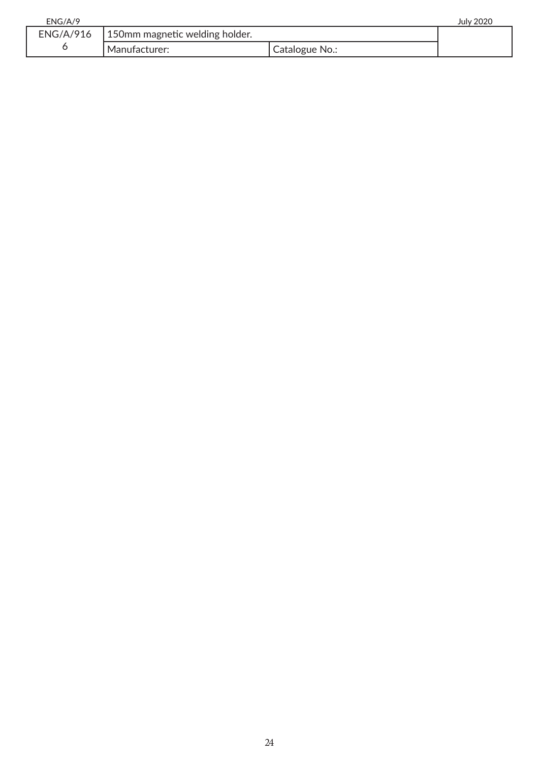| ENG/A/9          |                                |                  | July 2020 |
|------------------|--------------------------------|------------------|-----------|
| <b>ENG/A/916</b> | 150mm magnetic welding holder. |                  |           |
|                  | Manufacturer:                  | I Catalogue No.: |           |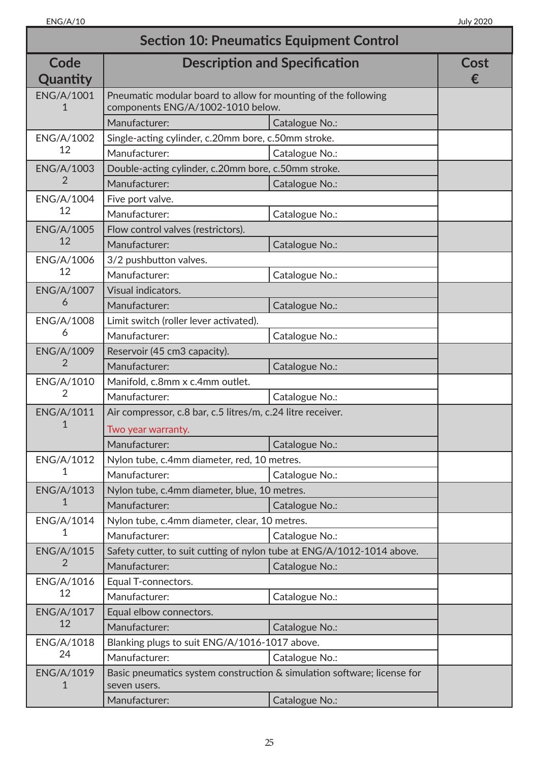| <b>Section 10: Pneumatics Equipment Control</b> |                                                                                                     |                                      |           |
|-------------------------------------------------|-----------------------------------------------------------------------------------------------------|--------------------------------------|-----------|
| Code<br>Quantity                                |                                                                                                     | <b>Description and Specification</b> | Cost<br>€ |
| <b>ENG/A/1001</b>                               | Pneumatic modular board to allow for mounting of the following<br>components ENG/A/1002-1010 below. |                                      |           |
|                                                 | Manufacturer:                                                                                       | Catalogue No.:                       |           |
| ENG/A/1002                                      | Single-acting cylinder, c.20mm bore, c.50mm stroke.                                                 |                                      |           |
| 12                                              | Manufacturer:                                                                                       | Catalogue No.:                       |           |
| <b>ENG/A/1003</b>                               | Double-acting cylinder, c.20mm bore, c.50mm stroke.                                                 |                                      |           |
| 2                                               | Manufacturer:                                                                                       | Catalogue No.:                       |           |
| ENG/A/1004                                      | Five port valve.                                                                                    |                                      |           |
| 12                                              | Manufacturer:                                                                                       | Catalogue No.:                       |           |
| <b>ENG/A/1005</b>                               | Flow control valves (restrictors).                                                                  |                                      |           |
| 12                                              | Manufacturer:                                                                                       | Catalogue No.:                       |           |
| ENG/A/1006                                      | 3/2 pushbutton valves.                                                                              |                                      |           |
| 12                                              | Manufacturer:                                                                                       | Catalogue No.:                       |           |
| <b>ENG/A/1007</b>                               | Visual indicators.                                                                                  |                                      |           |
| 6                                               | Manufacturer:                                                                                       | Catalogue No.:                       |           |
| ENG/A/1008                                      | Limit switch (roller lever activated).                                                              |                                      |           |
| 6                                               | Manufacturer:                                                                                       | Catalogue No.:                       |           |
| <b>ENG/A/1009</b>                               | Reservoir (45 cm3 capacity).                                                                        |                                      |           |
| 2                                               | Manufacturer:                                                                                       | Catalogue No.:                       |           |
| ENG/A/1010                                      | Manifold, c.8mm x c.4mm outlet.                                                                     |                                      |           |
| $\overline{2}$                                  | Manufacturer:                                                                                       | Catalogue No.:                       |           |
| ENG/A/1011                                      | Air compressor, c.8 bar, c.5 litres/m, c.24 litre receiver.                                         |                                      |           |
| 1                                               | Two year warranty.                                                                                  |                                      |           |
|                                                 | Manufacturer:                                                                                       | Catalogue No.:                       |           |
| ENG/A/1012                                      | Nylon tube, c.4mm diameter, red, 10 metres.                                                         |                                      |           |
| 1                                               | Manufacturer:                                                                                       | Catalogue No.:                       |           |
| ENG/A/1013                                      | Nylon tube, c.4mm diameter, blue, 10 metres.                                                        |                                      |           |
| $\mathbf{1}$                                    | Manufacturer:                                                                                       | Catalogue No.:                       |           |
| ENG/A/1014                                      | Nylon tube, c.4mm diameter, clear, 10 metres.                                                       |                                      |           |
| 1                                               | Manufacturer:                                                                                       | Catalogue No.:                       |           |
| <b>ENG/A/1015</b>                               | Safety cutter, to suit cutting of nylon tube at ENG/A/1012-1014 above.                              |                                      |           |
| 2                                               | Manufacturer:                                                                                       | Catalogue No.:                       |           |
| ENG/A/1016                                      | Equal T-connectors.                                                                                 |                                      |           |
| 12                                              | Manufacturer:                                                                                       | Catalogue No.:                       |           |
| <b>ENG/A/1017</b>                               | Equal elbow connectors.                                                                             |                                      |           |
| 12                                              | Manufacturer:<br>Catalogue No.:                                                                     |                                      |           |
| ENG/A/1018                                      | Blanking plugs to suit ENG/A/1016-1017 above.                                                       |                                      |           |
| 24                                              | Manufacturer:                                                                                       | Catalogue No.:                       |           |
| <b>ENG/A/1019</b>                               | Basic pneumatics system construction & simulation software; license for<br>seven users.             |                                      |           |
|                                                 | Manufacturer:                                                                                       | Catalogue No.:                       |           |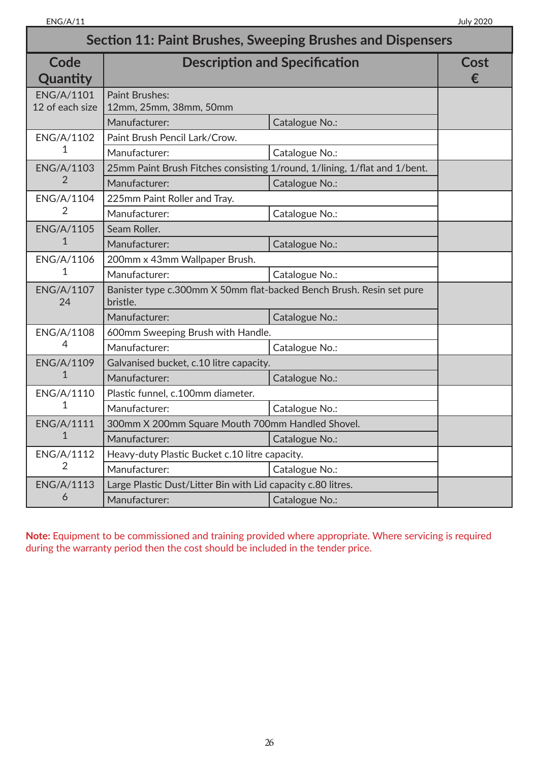| <b>Section 11: Paint Brushes, Sweeping Brushes and Dispensers</b> |                                                                                  |                                                                           |           |
|-------------------------------------------------------------------|----------------------------------------------------------------------------------|---------------------------------------------------------------------------|-----------|
| Code<br>Quantity                                                  | <b>Description and Specification</b>                                             |                                                                           | Cost<br>€ |
| <b>ENG/A/1101</b><br>12 of each size                              | <b>Paint Brushes:</b><br>12mm, 25mm, 38mm, 50mm                                  |                                                                           |           |
|                                                                   | Manufacturer:                                                                    | Catalogue No.:                                                            |           |
| ENG/A/1102                                                        | Paint Brush Pencil Lark/Crow.                                                    |                                                                           |           |
| 1                                                                 | Manufacturer:                                                                    | Catalogue No.:                                                            |           |
| ENG/A/1103                                                        |                                                                                  | 25mm Paint Brush Fitches consisting 1/round, 1/lining, 1/flat and 1/bent. |           |
| $\overline{2}$                                                    | Manufacturer:                                                                    | Catalogue No.:                                                            |           |
| ENG/A/1104                                                        | 225mm Paint Roller and Tray.                                                     |                                                                           |           |
| 2                                                                 | Manufacturer:                                                                    | Catalogue No.:                                                            |           |
| <b>ENG/A/1105</b>                                                 | Seam Roller.                                                                     |                                                                           |           |
| 1                                                                 | Manufacturer:                                                                    | Catalogue No.:                                                            |           |
| ENG/A/1106                                                        | 200mm x 43mm Wallpaper Brush.                                                    |                                                                           |           |
| 1                                                                 | Manufacturer:                                                                    | Catalogue No.:                                                            |           |
| <b>ENG/A/1107</b><br>24                                           | Banister type c.300mm X 50mm flat-backed Bench Brush. Resin set pure<br>bristle. |                                                                           |           |
|                                                                   | Manufacturer:                                                                    | Catalogue No.:                                                            |           |
| ENG/A/1108                                                        | 600mm Sweeping Brush with Handle.                                                |                                                                           |           |
| 4                                                                 | Manufacturer:                                                                    | Catalogue No.:                                                            |           |
| <b>ENG/A/1109</b>                                                 | Galvanised bucket, c.10 litre capacity.                                          |                                                                           |           |
| 1                                                                 | Manufacturer:                                                                    | Catalogue No.:                                                            |           |
| ENG/A/1110                                                        | Plastic funnel, c.100mm diameter.                                                |                                                                           |           |
| 1                                                                 | Manufacturer:                                                                    | Catalogue No.:                                                            |           |
| ENG/A/1111                                                        | 300mm X 200mm Square Mouth 700mm Handled Shovel.                                 |                                                                           |           |
| $\mathbf{1}$                                                      | Manufacturer:                                                                    | Catalogue No.:                                                            |           |
| ENG/A/1112                                                        | Heavy-duty Plastic Bucket c.10 litre capacity.                                   |                                                                           |           |
| $\overline{2}$                                                    | Manufacturer:                                                                    | Catalogue No.:                                                            |           |
| ENG/A/1113                                                        | Large Plastic Dust/Litter Bin with Lid capacity c.80 litres.                     |                                                                           |           |
| 6                                                                 | Manufacturer:                                                                    | Catalogue No.:                                                            |           |

**Note:** Equipment to be commissioned and training provided where appropriate. Where servicing is required during the warranty period then the cost should be included in the tender price.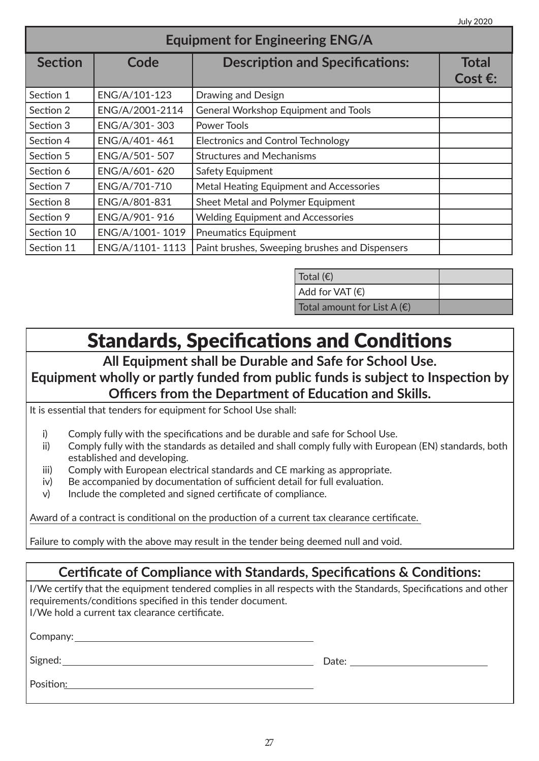| <b>Equipment for Engineering ENG/A</b> |                 |                                                |                                   |
|----------------------------------------|-----------------|------------------------------------------------|-----------------------------------|
| <b>Section</b>                         | Code            | <b>Description and Specifications:</b>         | <b>Total</b><br>Cost $\epsilon$ : |
| Section 1                              | ENG/A/101-123   | Drawing and Design                             |                                   |
| Section 2                              | ENG/A/2001-2114 | <b>General Workshop Equipment and Tools</b>    |                                   |
| Section 3                              | ENG/A/301-303   | Power Tools                                    |                                   |
| Section 4                              | ENG/A/401-461   | <b>Electronics and Control Technology</b>      |                                   |
| Section 5                              | ENG/A/501-507   | <b>Structures and Mechanisms</b>               |                                   |
| Section 6                              | ENG/A/601-620   | Safety Equipment                               |                                   |
| Section 7                              | ENG/A/701-710   | Metal Heating Equipment and Accessories        |                                   |
| Section 8                              | ENG/A/801-831   | Sheet Metal and Polymer Equipment              |                                   |
| Section 9                              | ENG/A/901-916   | <b>Welding Equipment and Accessories</b>       |                                   |
| Section 10                             | ENG/A/1001-1019 | <b>Pneumatics Equipment</b>                    |                                   |
| Section 11                             | ENG/A/1101-1113 | Paint brushes, Sweeping brushes and Dispensers |                                   |

| Total $(\epsilon)$                   |  |
|--------------------------------------|--|
| Add for VAT(E)                       |  |
| Total amount for List A $(\epsilon)$ |  |

### Standards, Specifications and Conditions

#### **All Equipment shall be Durable and Safe for School Use. Equipment wholly or partly funded from public funds is subject to Inspection by Officers from the Department of Education and Skills.**

It is essential that tenders for equipment for School Use shall:

- i) Comply fully with the specifications and be durable and safe for School Use.
- ii) Comply fully with the standards as detailed and shall comply fully with European (EN) standards, both established and developing.
- iii) Comply with European electrical standards and CE marking as appropriate.
- iv) Be accompanied by documentation of sufficient detail for full evaluation.
- v) Include the completed and signed certificate of compliance.

Award of a contract is conditional on the production of a current tax clearance certificate.

Failure to comply with the above may result in the tender being deemed null and void.

#### **Certificate of Compliance with Standards, Specifications & Conditions:**

I/We certify that the equipment tendered complies in all respects with the Standards, Specifications and other requirements/conditions specified in this tender document. I/We hold a current tax clearance certificate.

Company:

Signed: Date:

Position: **Example 2018**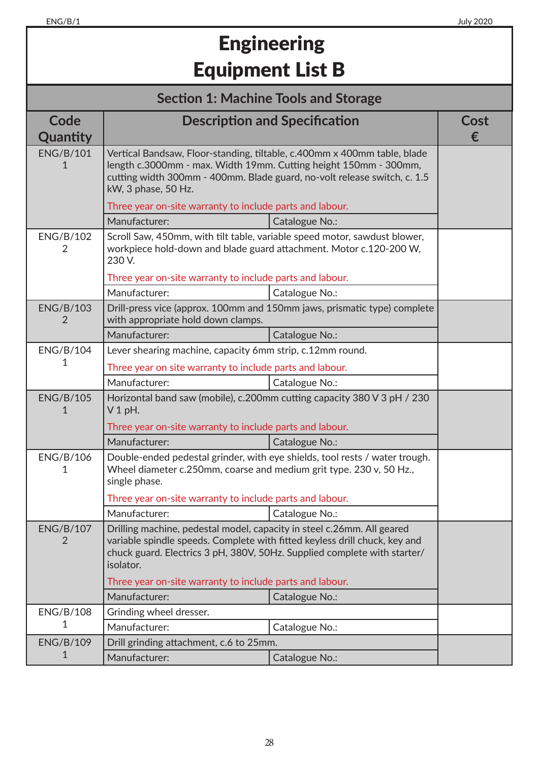## **Engineering** Equipment List B

### **Section 1: Machine Tools and Storage**

| Code<br>Quantity      | <b>Description and Specification</b>                                                                                                                                                                                                            |                                                                          | Cost<br>€ |
|-----------------------|-------------------------------------------------------------------------------------------------------------------------------------------------------------------------------------------------------------------------------------------------|--------------------------------------------------------------------------|-----------|
| <b>ENG/B/101</b><br>1 | Vertical Bandsaw, Floor-standing, tiltable, c.400mm x 400mm table, blade<br>length c.3000mm - max. Width 19mm. Cutting height 150mm - 300mm,<br>cutting width 300mm - 400mm. Blade guard, no-volt release switch, c. 1.5<br>kW, 3 phase, 50 Hz. |                                                                          |           |
|                       | Three year on-site warranty to include parts and labour.                                                                                                                                                                                        |                                                                          |           |
|                       | Manufacturer:                                                                                                                                                                                                                                   | Catalogue No.:                                                           |           |
| <b>ENG/B/102</b><br>2 | Scroll Saw, 450mm, with tilt table, variable speed motor, sawdust blower,<br>workpiece hold-down and blade guard attachment. Motor c.120-200 W,<br>230 V.                                                                                       |                                                                          |           |
|                       | Three year on-site warranty to include parts and labour.                                                                                                                                                                                        |                                                                          |           |
|                       | Manufacturer:                                                                                                                                                                                                                                   | Catalogue No.:                                                           |           |
| <b>ENG/B/103</b><br>2 | with appropriate hold down clamps.                                                                                                                                                                                                              | Drill-press vice (approx. 100mm and 150mm jaws, prismatic type) complete |           |
|                       | Manufacturer:                                                                                                                                                                                                                                   | Catalogue No.:                                                           |           |
| <b>ENG/B/104</b>      | Lever shearing machine, capacity 6mm strip, c.12mm round.                                                                                                                                                                                       |                                                                          |           |
| 1                     | Three year on site warranty to include parts and labour.                                                                                                                                                                                        |                                                                          |           |
|                       | Manufacturer:                                                                                                                                                                                                                                   | Catalogue No.:                                                           |           |
| <b>ENG/B/105</b><br>1 | $V1$ pH.                                                                                                                                                                                                                                        | Horizontal band saw (mobile), c.200mm cutting capacity 380 V 3 pH / 230  |           |
|                       | Three year on-site warranty to include parts and labour.                                                                                                                                                                                        |                                                                          |           |
|                       | Manufacturer:                                                                                                                                                                                                                                   | Catalogue No.:                                                           |           |
| <b>ENG/B/106</b><br>1 | Double-ended pedestal grinder, with eye shields, tool rests / water trough.<br>Wheel diameter c.250mm, coarse and medium grit type. 230 v, 50 Hz.,<br>single phase.                                                                             |                                                                          |           |
|                       | Three year on-site warranty to include parts and labour.                                                                                                                                                                                        |                                                                          |           |
|                       | Manufacturer:                                                                                                                                                                                                                                   | Catalogue No.:                                                           |           |
| <b>ENG/B/107</b><br>2 | Drilling machine, pedestal model, capacity in steel c.26mm. All geared<br>variable spindle speeds. Complete with fitted keyless drill chuck, key and<br>chuck guard. Electrics 3 pH, 380V, 50Hz. Supplied complete with starter/<br>isolator.   |                                                                          |           |
|                       | Three year on-site warranty to include parts and labour.                                                                                                                                                                                        |                                                                          |           |
|                       | Manufacturer:                                                                                                                                                                                                                                   | Catalogue No.:                                                           |           |
| <b>ENG/B/108</b>      | Grinding wheel dresser.                                                                                                                                                                                                                         |                                                                          |           |
| 1                     | Manufacturer:                                                                                                                                                                                                                                   | Catalogue No.:                                                           |           |
| <b>ENG/B/109</b>      | Drill grinding attachment, c.6 to 25mm.                                                                                                                                                                                                         |                                                                          |           |
| 1                     | Manufacturer:                                                                                                                                                                                                                                   | Catalogue No.:                                                           |           |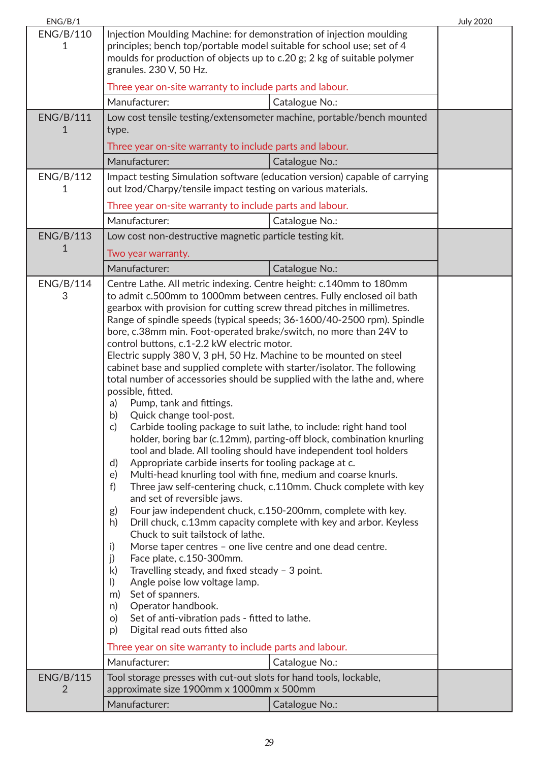| ENG/B/1               |                                                                                                                                                                                                                                                                                                                                                                                                                                                                                                                                                                                                                                                                                                                                                                                                                                                                                                                                                                                                                                                                                                                                                                                                                                                                                                                                                                                                                                                                                                                                                                                                                                                                                                                                                                                                                                                                                          |                | <b>July 2020</b> |
|-----------------------|------------------------------------------------------------------------------------------------------------------------------------------------------------------------------------------------------------------------------------------------------------------------------------------------------------------------------------------------------------------------------------------------------------------------------------------------------------------------------------------------------------------------------------------------------------------------------------------------------------------------------------------------------------------------------------------------------------------------------------------------------------------------------------------------------------------------------------------------------------------------------------------------------------------------------------------------------------------------------------------------------------------------------------------------------------------------------------------------------------------------------------------------------------------------------------------------------------------------------------------------------------------------------------------------------------------------------------------------------------------------------------------------------------------------------------------------------------------------------------------------------------------------------------------------------------------------------------------------------------------------------------------------------------------------------------------------------------------------------------------------------------------------------------------------------------------------------------------------------------------------------------------|----------------|------------------|
| <b>ENG/B/110</b><br>1 | Injection Moulding Machine: for demonstration of injection moulding<br>principles; bench top/portable model suitable for school use; set of 4<br>moulds for production of objects up to c.20 g; 2 kg of suitable polymer<br>granules. 230 V, 50 Hz.                                                                                                                                                                                                                                                                                                                                                                                                                                                                                                                                                                                                                                                                                                                                                                                                                                                                                                                                                                                                                                                                                                                                                                                                                                                                                                                                                                                                                                                                                                                                                                                                                                      |                |                  |
|                       | Three year on-site warranty to include parts and labour.                                                                                                                                                                                                                                                                                                                                                                                                                                                                                                                                                                                                                                                                                                                                                                                                                                                                                                                                                                                                                                                                                                                                                                                                                                                                                                                                                                                                                                                                                                                                                                                                                                                                                                                                                                                                                                 |                |                  |
|                       | Manufacturer:                                                                                                                                                                                                                                                                                                                                                                                                                                                                                                                                                                                                                                                                                                                                                                                                                                                                                                                                                                                                                                                                                                                                                                                                                                                                                                                                                                                                                                                                                                                                                                                                                                                                                                                                                                                                                                                                            | Catalogue No.: |                  |
| <b>ENG/B/111</b><br>1 | Low cost tensile testing/extensometer machine, portable/bench mounted<br>type.                                                                                                                                                                                                                                                                                                                                                                                                                                                                                                                                                                                                                                                                                                                                                                                                                                                                                                                                                                                                                                                                                                                                                                                                                                                                                                                                                                                                                                                                                                                                                                                                                                                                                                                                                                                                           |                |                  |
|                       | Three year on-site warranty to include parts and labour.                                                                                                                                                                                                                                                                                                                                                                                                                                                                                                                                                                                                                                                                                                                                                                                                                                                                                                                                                                                                                                                                                                                                                                                                                                                                                                                                                                                                                                                                                                                                                                                                                                                                                                                                                                                                                                 |                |                  |
|                       | Manufacturer:                                                                                                                                                                                                                                                                                                                                                                                                                                                                                                                                                                                                                                                                                                                                                                                                                                                                                                                                                                                                                                                                                                                                                                                                                                                                                                                                                                                                                                                                                                                                                                                                                                                                                                                                                                                                                                                                            | Catalogue No.: |                  |
| <b>ENG/B/112</b><br>1 | Impact testing Simulation software (education version) capable of carrying<br>out Izod/Charpy/tensile impact testing on various materials.                                                                                                                                                                                                                                                                                                                                                                                                                                                                                                                                                                                                                                                                                                                                                                                                                                                                                                                                                                                                                                                                                                                                                                                                                                                                                                                                                                                                                                                                                                                                                                                                                                                                                                                                               |                |                  |
|                       | Three year on-site warranty to include parts and labour.                                                                                                                                                                                                                                                                                                                                                                                                                                                                                                                                                                                                                                                                                                                                                                                                                                                                                                                                                                                                                                                                                                                                                                                                                                                                                                                                                                                                                                                                                                                                                                                                                                                                                                                                                                                                                                 |                |                  |
|                       | Manufacturer:                                                                                                                                                                                                                                                                                                                                                                                                                                                                                                                                                                                                                                                                                                                                                                                                                                                                                                                                                                                                                                                                                                                                                                                                                                                                                                                                                                                                                                                                                                                                                                                                                                                                                                                                                                                                                                                                            | Catalogue No.: |                  |
| <b>ENG/B/113</b>      | Low cost non-destructive magnetic particle testing kit.                                                                                                                                                                                                                                                                                                                                                                                                                                                                                                                                                                                                                                                                                                                                                                                                                                                                                                                                                                                                                                                                                                                                                                                                                                                                                                                                                                                                                                                                                                                                                                                                                                                                                                                                                                                                                                  |                |                  |
| 1                     |                                                                                                                                                                                                                                                                                                                                                                                                                                                                                                                                                                                                                                                                                                                                                                                                                                                                                                                                                                                                                                                                                                                                                                                                                                                                                                                                                                                                                                                                                                                                                                                                                                                                                                                                                                                                                                                                                          |                |                  |
|                       |                                                                                                                                                                                                                                                                                                                                                                                                                                                                                                                                                                                                                                                                                                                                                                                                                                                                                                                                                                                                                                                                                                                                                                                                                                                                                                                                                                                                                                                                                                                                                                                                                                                                                                                                                                                                                                                                                          |                |                  |
| <b>ENG/B/114</b><br>3 | Two year warranty.<br>Manufacturer:<br>Catalogue No.:<br>Centre Lathe. All metric indexing. Centre height: c.140mm to 180mm<br>to admit c.500mm to 1000mm between centres. Fully enclosed oil bath<br>gearbox with provision for cutting screw thread pitches in millimetres.<br>Range of spindle speeds (typical speeds; 36-1600/40-2500 rpm). Spindle<br>bore, c.38mm min. Foot-operated brake/switch, no more than 24V to<br>control buttons, c.1-2.2 kW electric motor.<br>Electric supply 380 V, 3 pH, 50 Hz. Machine to be mounted on steel<br>cabinet base and supplied complete with starter/isolator. The following<br>total number of accessories should be supplied with the lathe and, where<br>possible, fitted.<br>Pump, tank and fittings.<br>a)<br>b)<br>Quick change tool-post.<br>Carbide tooling package to suit lathe, to include: right hand tool<br>c)<br>holder, boring bar (c.12mm), parting-off block, combination knurling<br>tool and blade. All tooling should have independent tool holders<br>Appropriate carbide inserts for tooling package at c.<br>d)<br>Multi-head knurling tool with fine, medium and coarse knurls.<br>e)<br>f)<br>Three jaw self-centering chuck, c.110mm. Chuck complete with key<br>and set of reversible jaws.<br>Four jaw independent chuck, c.150-200mm, complete with key.<br>g)<br>Drill chuck, c.13mm capacity complete with key and arbor. Keyless<br>h)<br>Chuck to suit tailstock of lathe.<br>Morse taper centres - one live centre and one dead centre.<br>i)<br>j)<br>Face plate, c.150-300mm.<br>Travelling steady, and fixed steady - 3 point.<br>k)<br>Angle poise low voltage lamp.<br>$\vert$ )<br>Set of spanners.<br>m)<br>Operator handbook.<br>n)<br>Set of anti-vibration pads - fitted to lathe.<br>O)<br>Digital read outs fitted also<br>p)<br>Three year on site warranty to include parts and labour. |                |                  |
| <b>ENG/B/115</b>      | Manufacturer:<br>Tool storage presses with cut-out slots for hand tools, lockable,                                                                                                                                                                                                                                                                                                                                                                                                                                                                                                                                                                                                                                                                                                                                                                                                                                                                                                                                                                                                                                                                                                                                                                                                                                                                                                                                                                                                                                                                                                                                                                                                                                                                                                                                                                                                       | Catalogue No.: |                  |
| 2                     | approximate size 1900mm x 1000mm x 500mm                                                                                                                                                                                                                                                                                                                                                                                                                                                                                                                                                                                                                                                                                                                                                                                                                                                                                                                                                                                                                                                                                                                                                                                                                                                                                                                                                                                                                                                                                                                                                                                                                                                                                                                                                                                                                                                 |                |                  |
|                       | Manufacturer:                                                                                                                                                                                                                                                                                                                                                                                                                                                                                                                                                                                                                                                                                                                                                                                                                                                                                                                                                                                                                                                                                                                                                                                                                                                                                                                                                                                                                                                                                                                                                                                                                                                                                                                                                                                                                                                                            | Catalogue No.: |                  |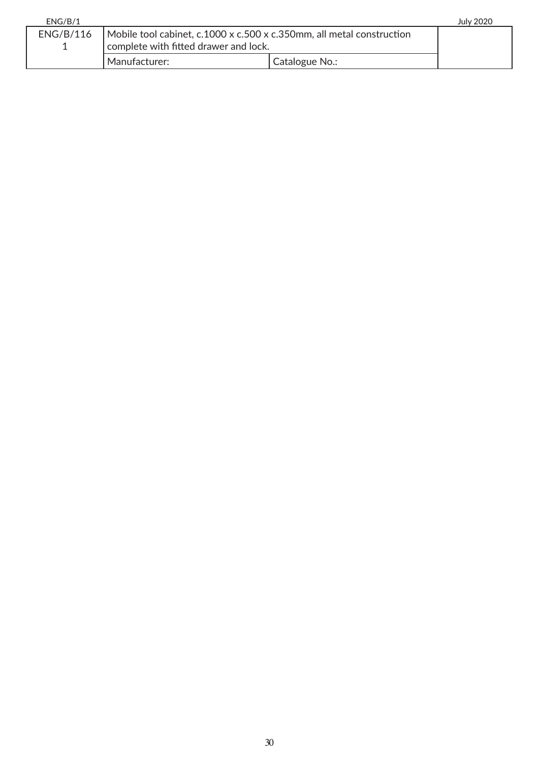| ENG/B/1   |                                                                                                                |                | <b>July 2020</b> |
|-----------|----------------------------------------------------------------------------------------------------------------|----------------|------------------|
| ENG/B/116 | Mobile tool cabinet, c.1000 x c.500 x c.350mm, all metal construction<br>complete with fitted drawer and lock. |                |                  |
|           | Manufacturer:                                                                                                  | Catalogue No.: |                  |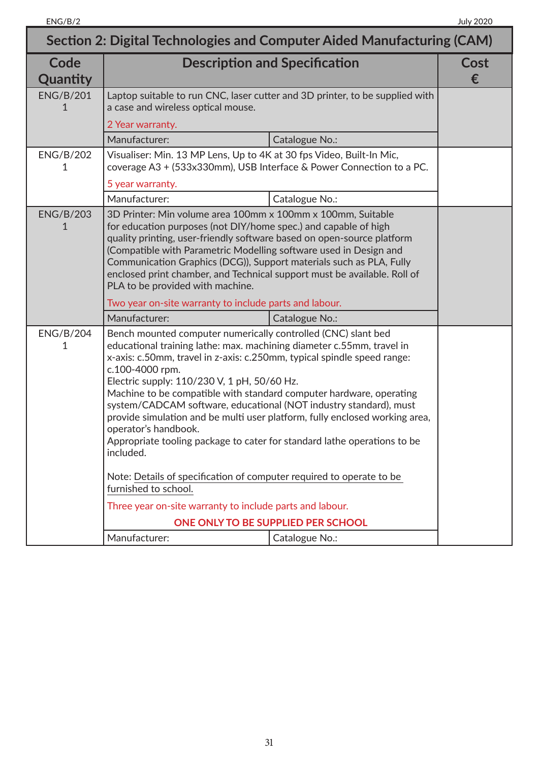| Section 2: Digital Technologies and Computer Aided Manufacturing (CAM) |                                                                                                                                                                                                                                                                                                                                                                                                                                                                                                                                                                                                                                                                                                         |                                                                              |                  |
|------------------------------------------------------------------------|---------------------------------------------------------------------------------------------------------------------------------------------------------------------------------------------------------------------------------------------------------------------------------------------------------------------------------------------------------------------------------------------------------------------------------------------------------------------------------------------------------------------------------------------------------------------------------------------------------------------------------------------------------------------------------------------------------|------------------------------------------------------------------------------|------------------|
| Code<br>Quantity                                                       | <b>Description and Specification</b>                                                                                                                                                                                                                                                                                                                                                                                                                                                                                                                                                                                                                                                                    |                                                                              | <b>Cost</b><br>€ |
| <b>ENG/B/201</b><br>1                                                  | a case and wireless optical mouse.                                                                                                                                                                                                                                                                                                                                                                                                                                                                                                                                                                                                                                                                      | Laptop suitable to run CNC, laser cutter and 3D printer, to be supplied with |                  |
|                                                                        | 2 Year warranty.                                                                                                                                                                                                                                                                                                                                                                                                                                                                                                                                                                                                                                                                                        |                                                                              |                  |
|                                                                        | Manufacturer:                                                                                                                                                                                                                                                                                                                                                                                                                                                                                                                                                                                                                                                                                           | Catalogue No.:                                                               |                  |
| <b>ENG/B/202</b><br>1                                                  | Visualiser: Min. 13 MP Lens, Up to 4K at 30 fps Video, Built-In Mic,                                                                                                                                                                                                                                                                                                                                                                                                                                                                                                                                                                                                                                    | coverage A3 + (533x330mm), USB Interface & Power Connection to a PC.         |                  |
|                                                                        | 5 year warranty.                                                                                                                                                                                                                                                                                                                                                                                                                                                                                                                                                                                                                                                                                        |                                                                              |                  |
|                                                                        | Manufacturer:                                                                                                                                                                                                                                                                                                                                                                                                                                                                                                                                                                                                                                                                                           | Catalogue No.:                                                               |                  |
| <b>ENG/B/203</b><br>1                                                  | 3D Printer: Min volume area 100mm x 100mm x 100mm, Suitable<br>for education purposes (not DIY/home spec.) and capable of high<br>quality printing, user-friendly software based on open-source platform<br>(Compatible with Parametric Modelling software used in Design and<br>Communication Graphics (DCG)), Support materials such as PLA, Fully<br>enclosed print chamber, and Technical support must be available. Roll of<br>PLA to be provided with machine.                                                                                                                                                                                                                                    |                                                                              |                  |
|                                                                        | Two year on-site warranty to include parts and labour.                                                                                                                                                                                                                                                                                                                                                                                                                                                                                                                                                                                                                                                  |                                                                              |                  |
|                                                                        | Manufacturer:                                                                                                                                                                                                                                                                                                                                                                                                                                                                                                                                                                                                                                                                                           | Catalogue No.:                                                               |                  |
| <b>ENG/B/204</b><br>1                                                  | Bench mounted computer numerically controlled (CNC) slant bed<br>educational training lathe: max. machining diameter c.55mm, travel in<br>x-axis: c.50mm, travel in z-axis: c.250mm, typical spindle speed range:<br>c.100-4000 rpm.<br>Electric supply: 110/230 V, 1 pH, 50/60 Hz.<br>Machine to be compatible with standard computer hardware, operating<br>system/CADCAM software, educational (NOT industry standard), must<br>provide simulation and be multi user platform, fully enclosed working area,<br>operator's handbook.<br>Appropriate tooling package to cater for standard lathe operations to be<br>included.<br>Note: Details of specification of computer required to operate to be |                                                                              |                  |
|                                                                        | furnished to school.<br>Three year on-site warranty to include parts and labour.                                                                                                                                                                                                                                                                                                                                                                                                                                                                                                                                                                                                                        |                                                                              |                  |
|                                                                        |                                                                                                                                                                                                                                                                                                                                                                                                                                                                                                                                                                                                                                                                                                         | ONE ONLY TO BE SUPPLIED PER SCHOOL                                           |                  |
|                                                                        | Manufacturer:                                                                                                                                                                                                                                                                                                                                                                                                                                                                                                                                                                                                                                                                                           | Catalogue No.:                                                               |                  |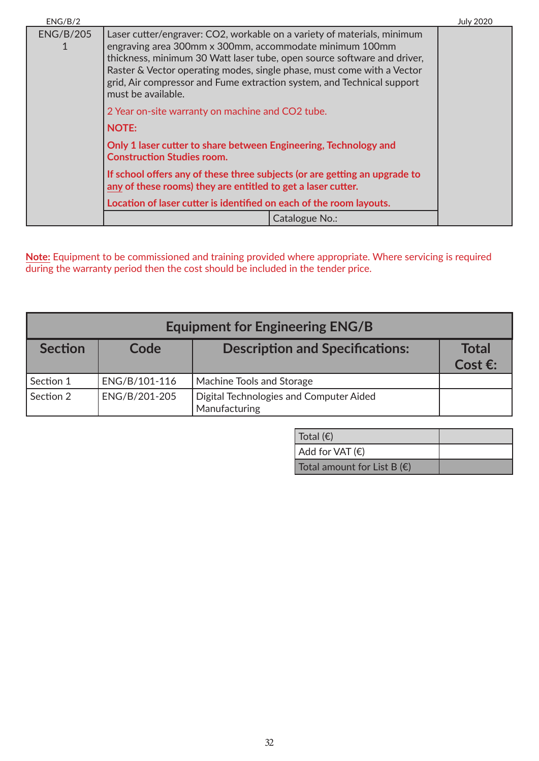| ENG/B/2          |                                                                                                                                                                                                                                                                                                                                                                                         | <b>July 2020</b> |
|------------------|-----------------------------------------------------------------------------------------------------------------------------------------------------------------------------------------------------------------------------------------------------------------------------------------------------------------------------------------------------------------------------------------|------------------|
| <b>ENG/B/205</b> | Laser cutter/engraver: CO2, workable on a variety of materials, minimum<br>engraving area 300mm x 300mm, accommodate minimum 100mm<br>thickness, minimum 30 Watt laser tube, open source software and driver,<br>Raster & Vector operating modes, single phase, must come with a Vector<br>grid, Air compressor and Fume extraction system, and Technical support<br>must be available. |                  |
|                  | 2 Year on-site warranty on machine and CO2 tube.                                                                                                                                                                                                                                                                                                                                        |                  |
|                  | <b>NOTE:</b>                                                                                                                                                                                                                                                                                                                                                                            |                  |
|                  | Only 1 laser cutter to share between Engineering, Technology and<br><b>Construction Studies room.</b>                                                                                                                                                                                                                                                                                   |                  |
|                  | If school offers any of these three subjects (or are getting an upgrade to<br>any of these rooms) they are entitled to get a laser cutter.                                                                                                                                                                                                                                              |                  |
|                  | Location of laser cutter is identified on each of the room layouts.                                                                                                                                                                                                                                                                                                                     |                  |
|                  | Catalogue No.:                                                                                                                                                                                                                                                                                                                                                                          |                  |

**Note:** Equipment to be commissioned and training provided where appropriate. Where servicing is required during the warranty period then the cost should be included in the tender price.

| <b>Equipment for Engineering ENG/B</b> |               |                                                          |                            |
|----------------------------------------|---------------|----------------------------------------------------------|----------------------------|
| <b>Section</b>                         | Code          | <b>Description and Specifications:</b>                   | <b>Total</b><br>Cost $E$ : |
| Section 1                              | ENG/B/101-116 | Machine Tools and Storage                                |                            |
| Section 2                              | ENG/B/201-205 | Digital Technologies and Computer Aided<br>Manufacturing |                            |

| Total (€)                            |  |
|--------------------------------------|--|
| $Add$ for VAT $(\epsilon)$           |  |
| Total amount for List B $(\epsilon)$ |  |